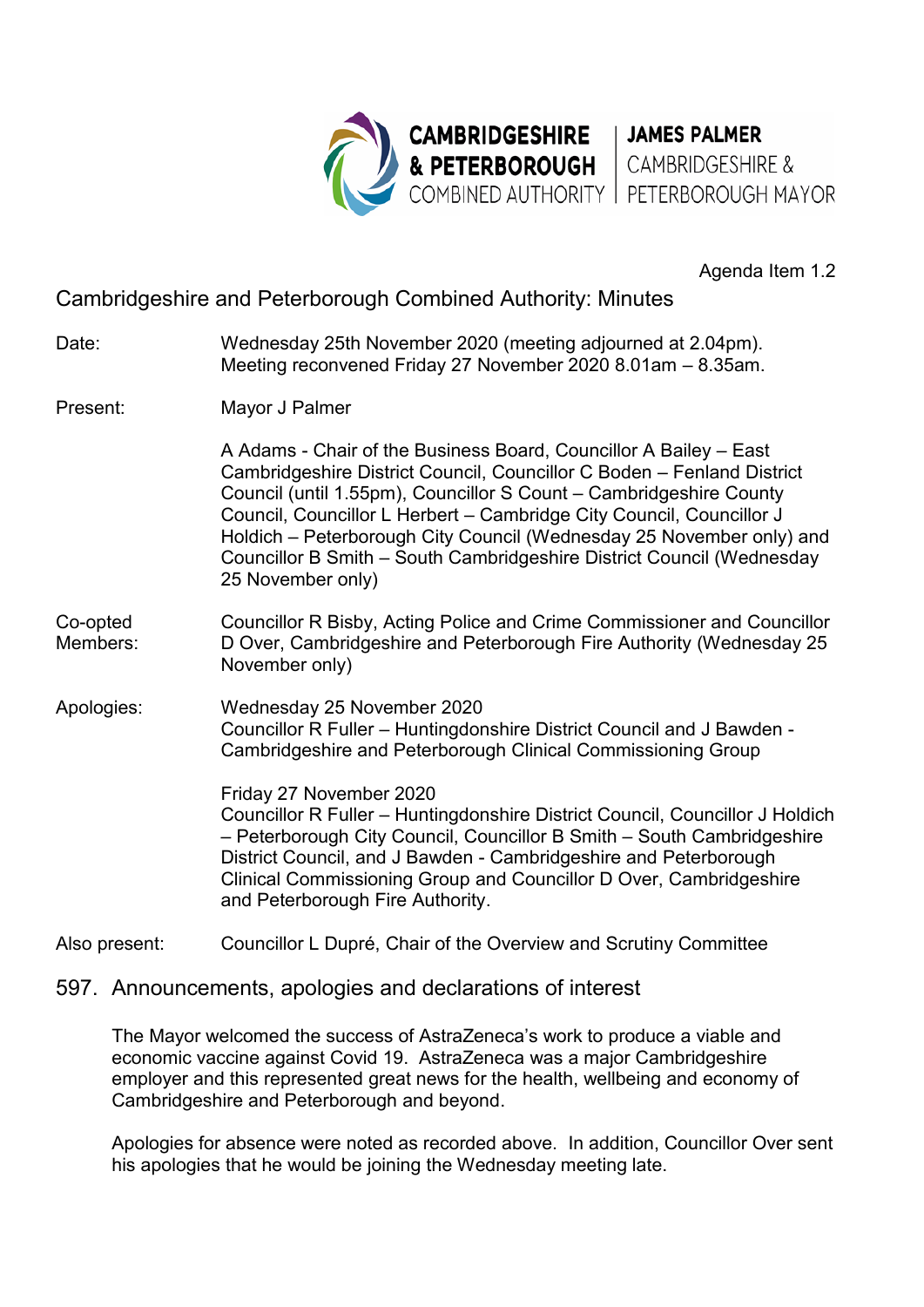

Agenda Item 1.2

# Cambridgeshire and Peterborough Combined Authority: Minutes

- Date: Wednesday 25th November 2020 (meeting adjourned at 2.04pm). Meeting reconvened Friday 27 November 2020 8.01am – 8.35am.
- Present: Mayor J Palmer

 A Adams - Chair of the Business Board, Councillor A Bailey – East Cambridgeshire District Council, Councillor C Boden – Fenland District Council (until 1.55pm), Councillor S Count – Cambridgeshire County Council, Councillor L Herbert – Cambridge City Council, Councillor J Holdich – Peterborough City Council (Wednesday 25 November only) and Councillor B Smith – South Cambridgeshire District Council (Wednesday 25 November only)

- Co-opted Councillor R Bisby, Acting Police and Crime Commissioner and Councillor<br>Members: D Over, Cambridgeshire and Peterborough Fire Authority (Wednesday 25 D Over, Cambridgeshire and Peterborough Fire Authority (Wednesday 25 November only)
- Apologies: Wednesday 25 November 2020 Councillor R Fuller – Huntingdonshire District Council and J Bawden - Cambridgeshire and Peterborough Clinical Commissioning Group

 Friday 27 November 2020 Councillor R Fuller – Huntingdonshire District Council, Councillor J Holdich – Peterborough City Council, Councillor B Smith – South Cambridgeshire District Council, and J Bawden - Cambridgeshire and Peterborough Clinical Commissioning Group and Councillor D Over, Cambridgeshire and Peterborough Fire Authority.

Also present: Councillor L Dupré, Chair of the Overview and Scrutiny Committee

597. Announcements, apologies and declarations of interest

The Mayor welcomed the success of AstraZeneca's work to produce a viable and economic vaccine against Covid 19. AstraZeneca was a major Cambridgeshire employer and this represented great news for the health, wellbeing and economy of Cambridgeshire and Peterborough and beyond.

Apologies for absence were noted as recorded above. In addition, Councillor Over sent his apologies that he would be joining the Wednesday meeting late.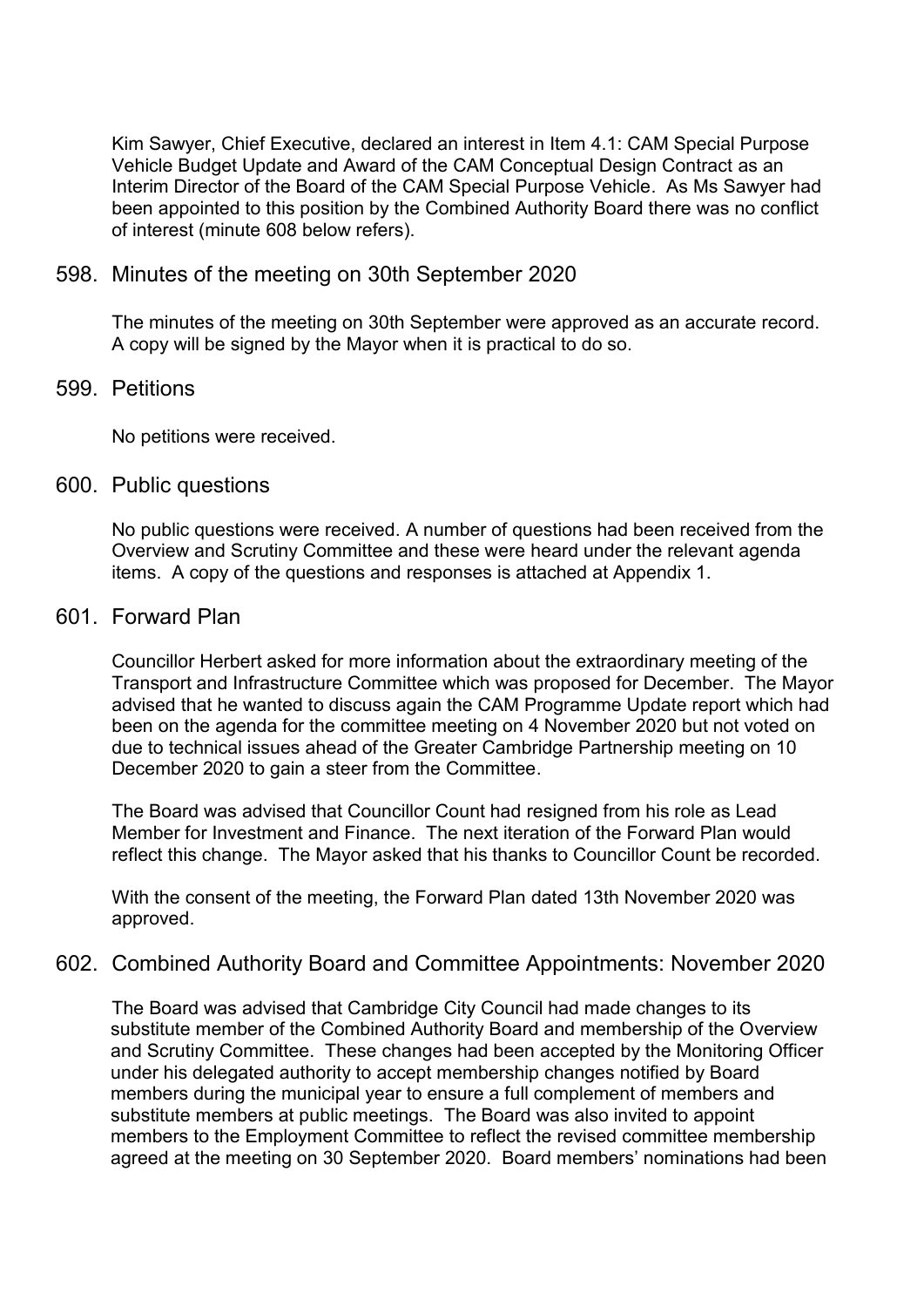Kim Sawyer, Chief Executive, declared an interest in Item 4.1: CAM Special Purpose Vehicle Budget Update and Award of the CAM Conceptual Design Contract as an Interim Director of the Board of the CAM Special Purpose Vehicle. As Ms Sawyer had been appointed to this position by the Combined Authority Board there was no conflict of interest (minute 608 below refers).

#### 598. Minutes of the meeting on 30th September 2020

The minutes of the meeting on 30th September were approved as an accurate record. A copy will be signed by the Mayor when it is practical to do so.

### 599. Petitions

No petitions were received.

#### 600. Public questions

No public questions were received. A number of questions had been received from the Overview and Scrutiny Committee and these were heard under the relevant agenda items. A copy of the questions and responses is attached at Appendix 1.

#### 601. Forward Plan

Councillor Herbert asked for more information about the extraordinary meeting of the Transport and Infrastructure Committee which was proposed for December. The Mayor advised that he wanted to discuss again the CAM Programme Update report which had been on the agenda for the committee meeting on 4 November 2020 but not voted on due to technical issues ahead of the Greater Cambridge Partnership meeting on 10 December 2020 to gain a steer from the Committee.

The Board was advised that Councillor Count had resigned from his role as Lead Member for Investment and Finance. The next iteration of the Forward Plan would reflect this change. The Mayor asked that his thanks to Councillor Count be recorded.

With the consent of the meeting, the Forward Plan dated 13th November 2020 was approved.

# 602. Combined Authority Board and Committee Appointments: November 2020

 The Board was advised that Cambridge City Council had made changes to its substitute member of the Combined Authority Board and membership of the Overview and Scrutiny Committee. These changes had been accepted by the Monitoring Officer under his delegated authority to accept membership changes notified by Board members during the municipal year to ensure a full complement of members and substitute members at public meetings. The Board was also invited to appoint members to the Employment Committee to reflect the revised committee membership agreed at the meeting on 30 September 2020. Board members' nominations had been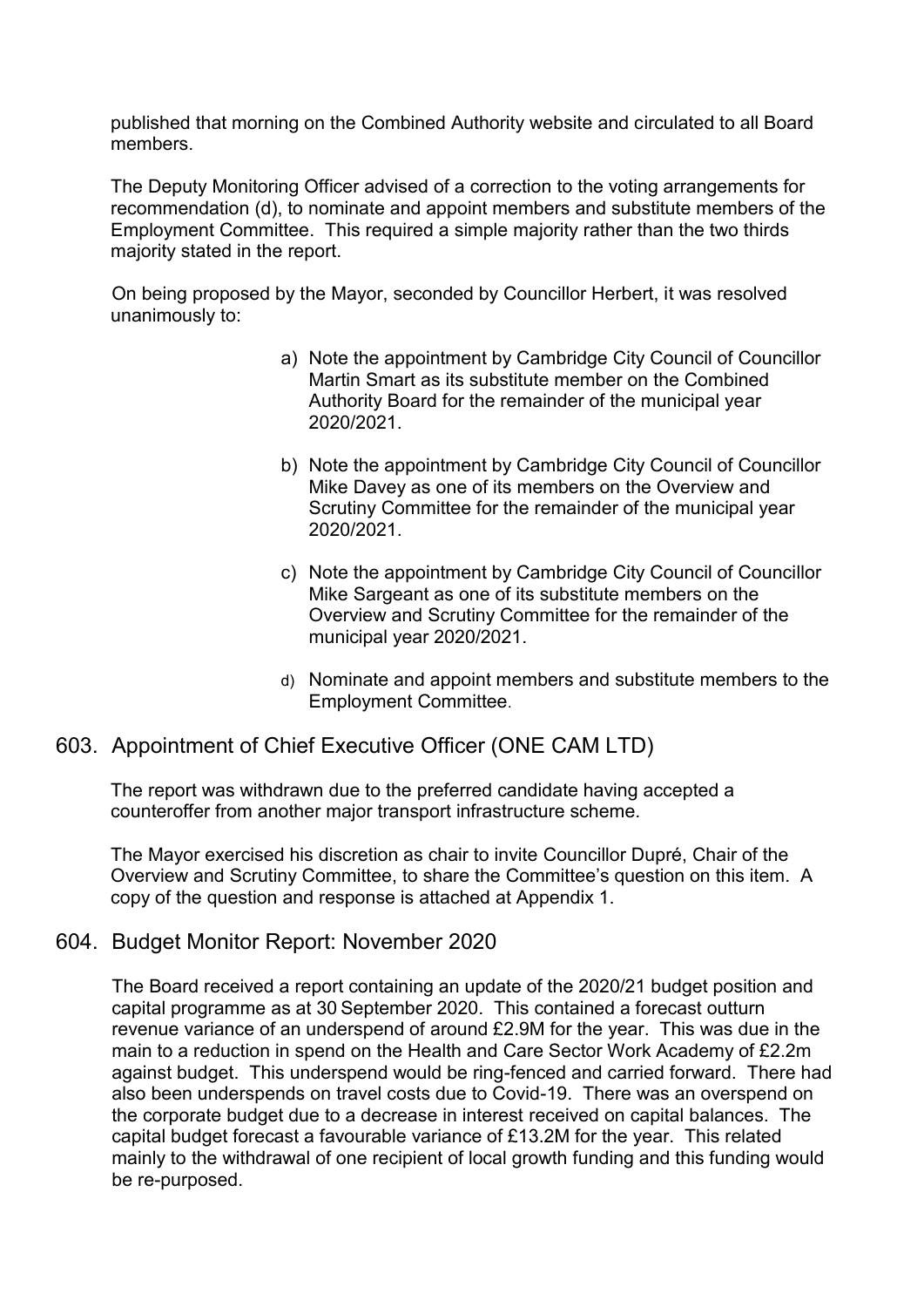published that morning on the Combined Authority website and circulated to all Board members.

The Deputy Monitoring Officer advised of a correction to the voting arrangements for recommendation (d), to nominate and appoint members and substitute members of the Employment Committee. This required a simple majority rather than the two thirds majority stated in the report.

On being proposed by the Mayor, seconded by Councillor Herbert, it was resolved unanimously to:

- a) Note the appointment by Cambridge City Council of Councillor Martin Smart as its substitute member on the Combined Authority Board for the remainder of the municipal year 2020/2021.
- b) Note the appointment by Cambridge City Council of Councillor Mike Davey as one of its members on the Overview and Scrutiny Committee for the remainder of the municipal year 2020/2021.
- c) Note the appointment by Cambridge City Council of Councillor Mike Sargeant as one of its substitute members on the Overview and Scrutiny Committee for the remainder of the municipal year 2020/2021.
- d) Nominate and appoint members and substitute members to the Employment Committee.

# 603. Appointment of Chief Executive Officer (ONE CAM LTD)

The report was withdrawn due to the preferred candidate having accepted a counteroffer from another major transport infrastructure scheme.

The Mayor exercised his discretion as chair to invite Councillor Dupré, Chair of the Overview and Scrutiny Committee, to share the Committee's question on this item. A copy of the question and response is attached at Appendix 1.

# 604. Budget Monitor Report: November 2020

The Board received a report containing an update of the 2020/21 budget position and capital programme as at 30 September 2020. This contained a forecast outturn revenue variance of an underspend of around £2.9M for the year. This was due in the main to a reduction in spend on the Health and Care Sector Work Academy of £2.2m against budget. This underspend would be ring-fenced and carried forward. There had also been underspends on travel costs due to Covid-19. There was an overspend on the corporate budget due to a decrease in interest received on capital balances. The capital budget forecast a favourable variance of £13.2M for the year. This related mainly to the withdrawal of one recipient of local growth funding and this funding would be re-purposed.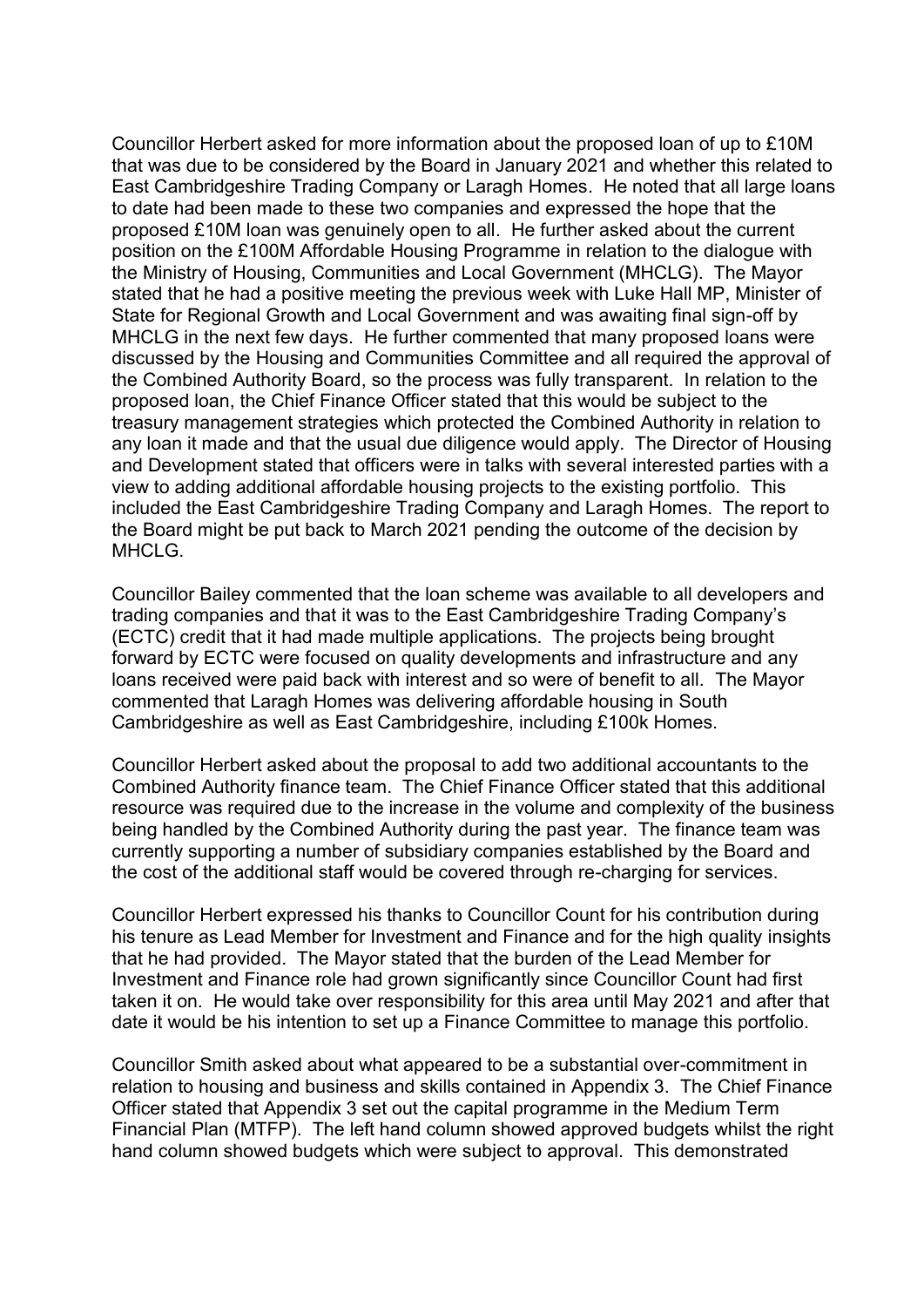Councillor Herbert asked for more information about the proposed loan of up to £10M that was due to be considered by the Board in January 2021 and whether this related to East Cambridgeshire Trading Company or Laragh Homes. He noted that all large loans to date had been made to these two companies and expressed the hope that the proposed £10M loan was genuinely open to all. He further asked about the current position on the £100M Affordable Housing Programme in relation to the dialogue with the Ministry of Housing, Communities and Local Government (MHCLG). The Mayor stated that he had a positive meeting the previous week with Luke Hall MP, Minister of State for Regional Growth and Local Government and was awaiting final sign-off by MHCLG in the next few days. He further commented that many proposed loans were discussed by the Housing and Communities Committee and all required the approval of the Combined Authority Board, so the process was fully transparent. In relation to the proposed loan, the Chief Finance Officer stated that this would be subject to the treasury management strategies which protected the Combined Authority in relation to any loan it made and that the usual due diligence would apply. The Director of Housing and Development stated that officers were in talks with several interested parties with a view to adding additional affordable housing projects to the existing portfolio. This included the East Cambridgeshire Trading Company and Laragh Homes. The report to the Board might be put back to March 2021 pending the outcome of the decision by MHCLG.

Councillor Bailey commented that the loan scheme was available to all developers and trading companies and that it was to the East Cambridgeshire Trading Company's (ECTC) credit that it had made multiple applications. The projects being brought forward by ECTC were focused on quality developments and infrastructure and any loans received were paid back with interest and so were of benefit to all. The Mayor commented that Laragh Homes was delivering affordable housing in South Cambridgeshire as well as East Cambridgeshire, including £100k Homes.

Councillor Herbert asked about the proposal to add two additional accountants to the Combined Authority finance team. The Chief Finance Officer stated that this additional resource was required due to the increase in the volume and complexity of the business being handled by the Combined Authority during the past year. The finance team was currently supporting a number of subsidiary companies established by the Board and the cost of the additional staff would be covered through re-charging for services.

Councillor Herbert expressed his thanks to Councillor Count for his contribution during his tenure as Lead Member for Investment and Finance and for the high quality insights that he had provided. The Mayor stated that the burden of the Lead Member for Investment and Finance role had grown significantly since Councillor Count had first taken it on. He would take over responsibility for this area until May 2021 and after that date it would be his intention to set up a Finance Committee to manage this portfolio.

Councillor Smith asked about what appeared to be a substantial over-commitment in relation to housing and business and skills contained in Appendix 3. The Chief Finance Officer stated that Appendix 3 set out the capital programme in the Medium Term Financial Plan (MTFP). The left hand column showed approved budgets whilst the right hand column showed budgets which were subject to approval. This demonstrated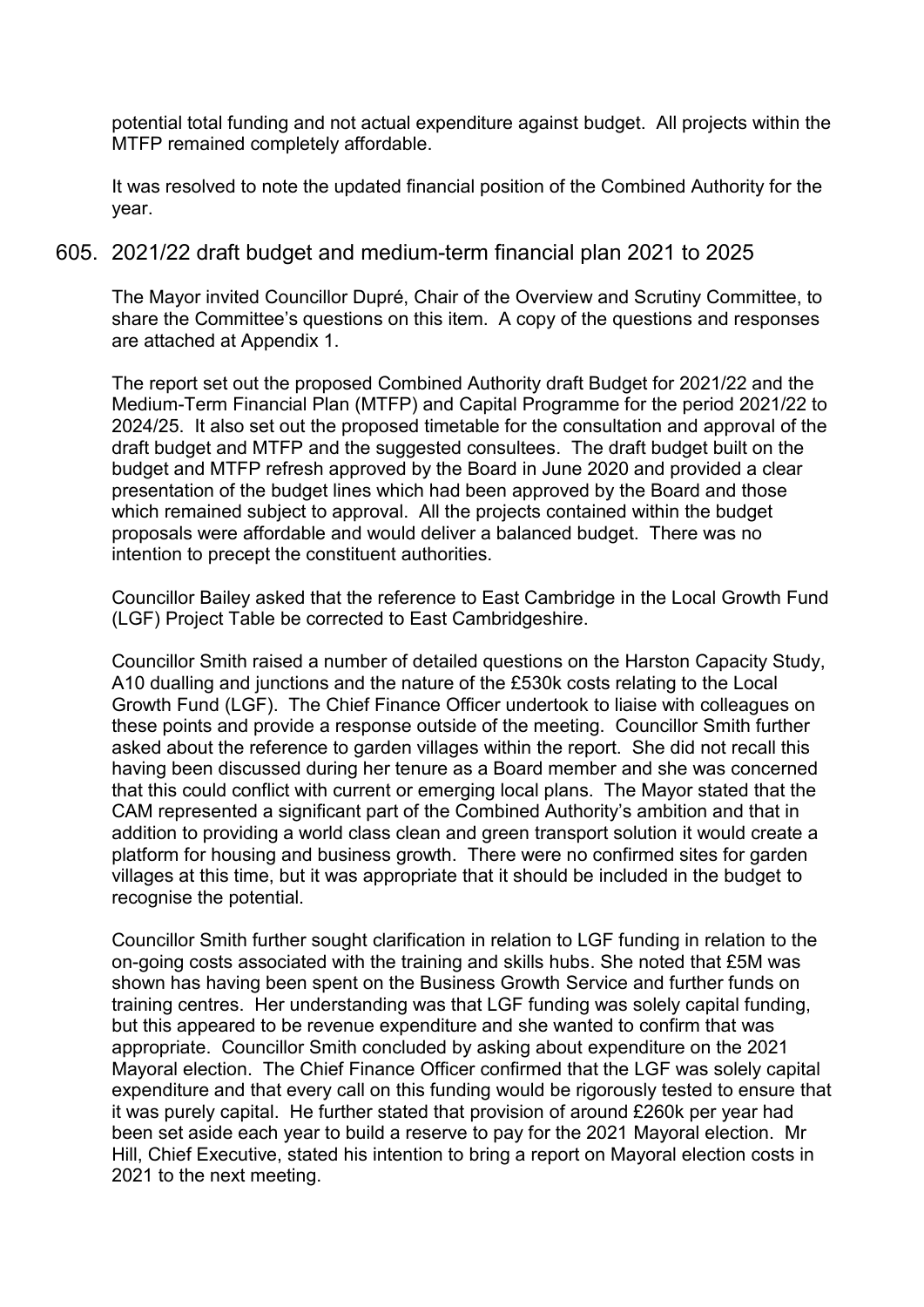potential total funding and not actual expenditure against budget. All projects within the MTFP remained completely affordable.

It was resolved to note the updated financial position of the Combined Authority for the year.

605. 2021/22 draft budget and medium-term financial plan 2021 to 2025

The Mayor invited Councillor Dupré, Chair of the Overview and Scrutiny Committee, to share the Committee's questions on this item. A copy of the questions and responses are attached at Appendix 1.

The report set out the proposed Combined Authority draft Budget for 2021/22 and the Medium-Term Financial Plan (MTFP) and Capital Programme for the period 2021/22 to 2024/25. It also set out the proposed timetable for the consultation and approval of the draft budget and MTFP and the suggested consultees. The draft budget built on the budget and MTFP refresh approved by the Board in June 2020 and provided a clear presentation of the budget lines which had been approved by the Board and those which remained subject to approval. All the projects contained within the budget proposals were affordable and would deliver a balanced budget. There was no intention to precept the constituent authorities.

Councillor Bailey asked that the reference to East Cambridge in the Local Growth Fund (LGF) Project Table be corrected to East Cambridgeshire.

Councillor Smith raised a number of detailed questions on the Harston Capacity Study, A10 dualling and junctions and the nature of the £530k costs relating to the Local Growth Fund (LGF). The Chief Finance Officer undertook to liaise with colleagues on these points and provide a response outside of the meeting. Councillor Smith further asked about the reference to garden villages within the report. She did not recall this having been discussed during her tenure as a Board member and she was concerned that this could conflict with current or emerging local plans. The Mayor stated that the CAM represented a significant part of the Combined Authority's ambition and that in addition to providing a world class clean and green transport solution it would create a platform for housing and business growth. There were no confirmed sites for garden villages at this time, but it was appropriate that it should be included in the budget to recognise the potential.

Councillor Smith further sought clarification in relation to LGF funding in relation to the on-going costs associated with the training and skills hubs. She noted that £5M was shown has having been spent on the Business Growth Service and further funds on training centres. Her understanding was that LGF funding was solely capital funding, but this appeared to be revenue expenditure and she wanted to confirm that was appropriate. Councillor Smith concluded by asking about expenditure on the 2021 Mayoral election. The Chief Finance Officer confirmed that the LGF was solely capital expenditure and that every call on this funding would be rigorously tested to ensure that it was purely capital. He further stated that provision of around £260k per year had been set aside each year to build a reserve to pay for the 2021 Mayoral election. Mr Hill, Chief Executive, stated his intention to bring a report on Mayoral election costs in 2021 to the next meeting.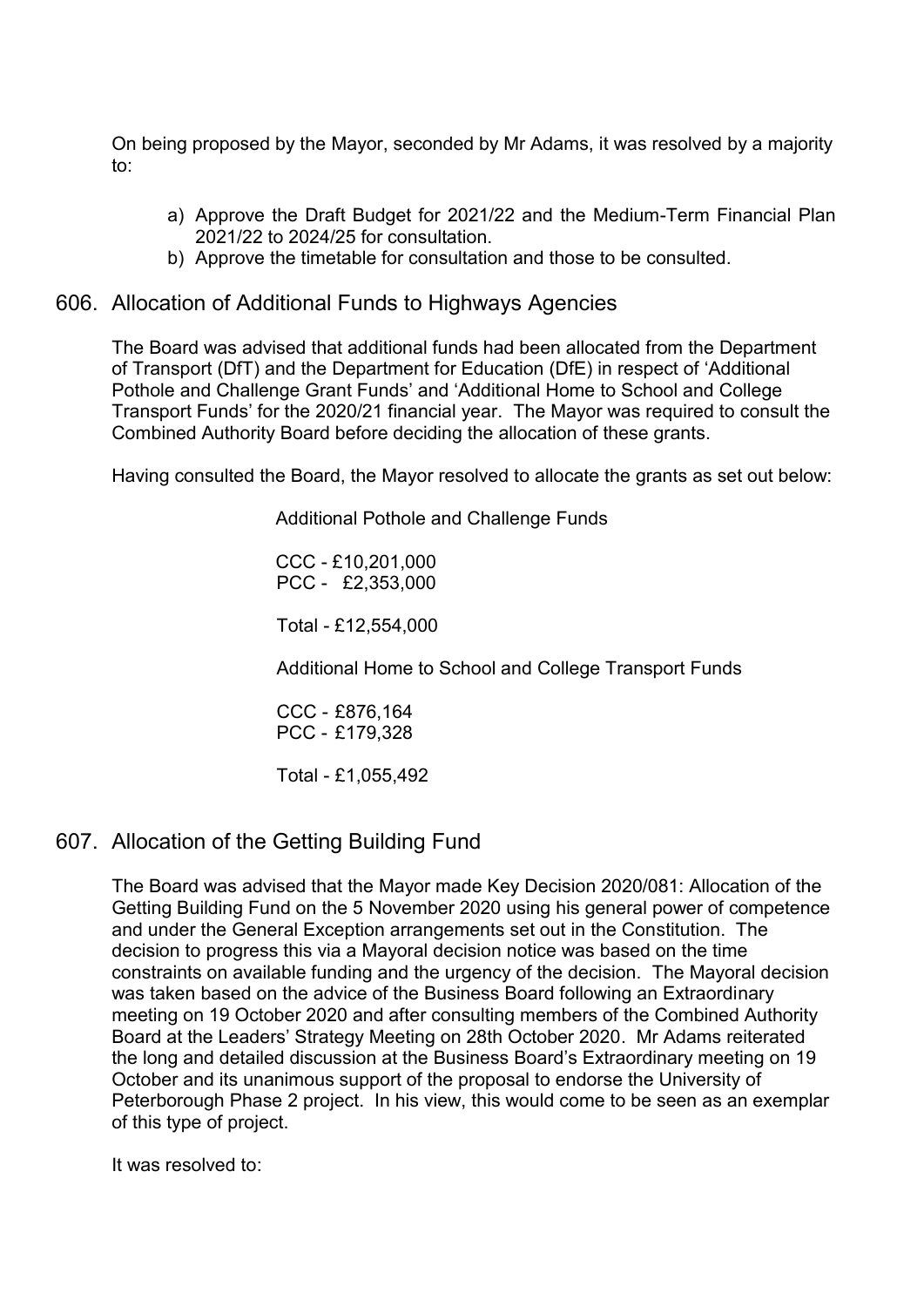On being proposed by the Mayor, seconded by Mr Adams, it was resolved by a majority to:

- a) Approve the Draft Budget for 2021/22 and the Medium-Term Financial Plan 2021/22 to 2024/25 for consultation.
- b) Approve the timetable for consultation and those to be consulted.

#### 606. Allocation of Additional Funds to Highways Agencies

The Board was advised that additional funds had been allocated from the Department of Transport (DfT) and the Department for Education (DfE) in respect of 'Additional Pothole and Challenge Grant Funds' and 'Additional Home to School and College Transport Funds' for the 2020/21 financial year. The Mayor was required to consult the Combined Authority Board before deciding the allocation of these grants.

Having consulted the Board, the Mayor resolved to allocate the grants as set out below:

Additional Pothole and Challenge Funds

CCC - £10,201,000 PCC - £2,353,000

Total - £12,554,000

Additional Home to School and College Transport Funds

CCC - £876,164 PCC - £179,328

Total - £1,055,492

# 607. Allocation of the Getting Building Fund

The Board was advised that the Mayor made Key Decision 2020/081: Allocation of the Getting Building Fund on the 5 November 2020 using his general power of competence and under the General Exception arrangements set out in the Constitution. The decision to progress this via a Mayoral decision notice was based on the time constraints on available funding and the urgency of the decision. The Mayoral decision was taken based on the advice of the Business Board following an Extraordinary meeting on 19 October 2020 and after consulting members of the Combined Authority Board at the Leaders' Strategy Meeting on 28th October 2020. Mr Adams reiterated the long and detailed discussion at the Business Board's Extraordinary meeting on 19 October and its unanimous support of the proposal to endorse the University of Peterborough Phase 2 project. In his view, this would come to be seen as an exemplar of this type of project.

It was resolved to: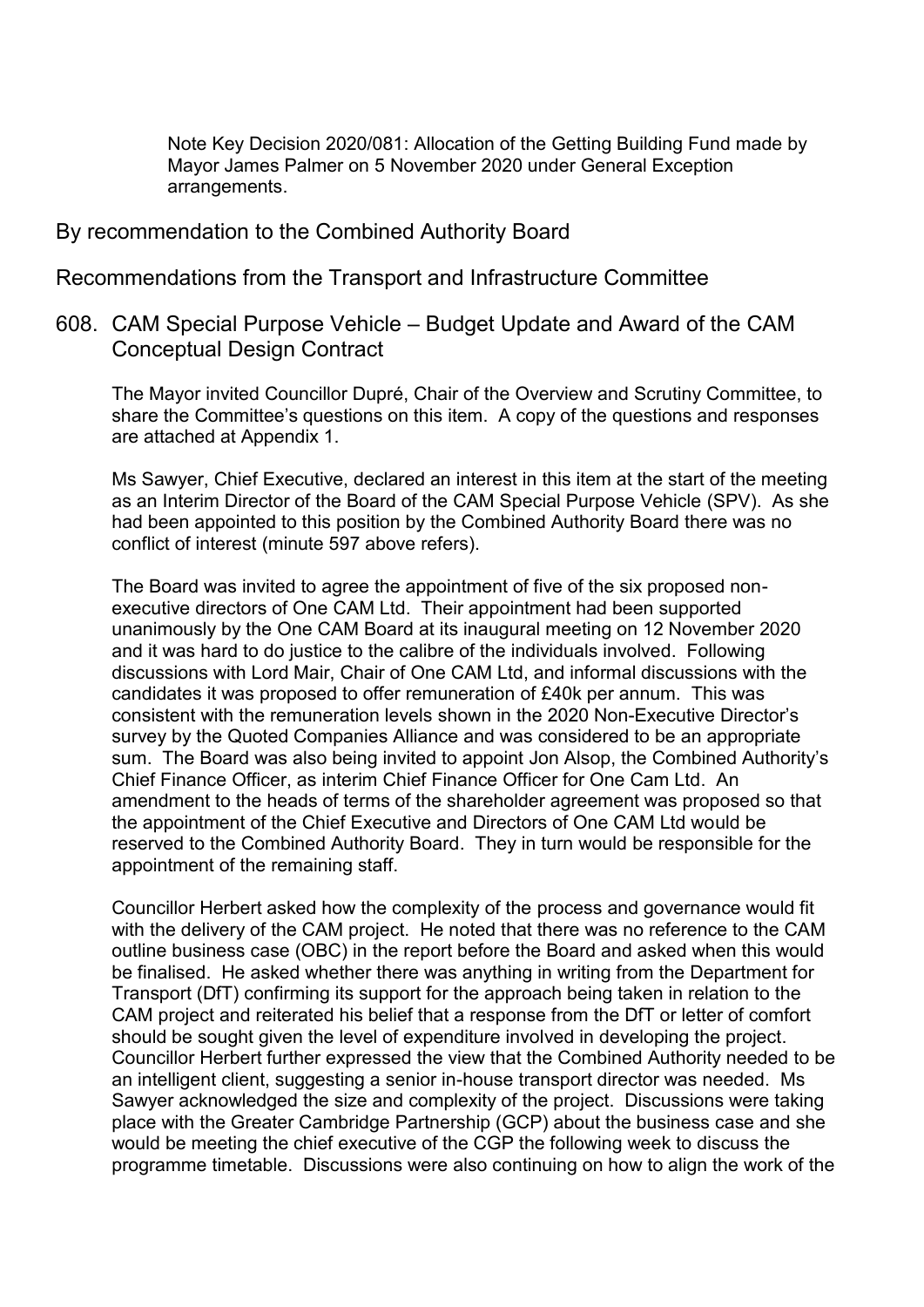Note Key Decision 2020/081: Allocation of the Getting Building Fund made by Mayor James Palmer on 5 November 2020 under General Exception arrangements.

#### By recommendation to the Combined Authority Board

Recommendations from the Transport and Infrastructure Committee

608. CAM Special Purpose Vehicle – Budget Update and Award of the CAM Conceptual Design Contract

The Mayor invited Councillor Dupré, Chair of the Overview and Scrutiny Committee, to share the Committee's questions on this item. A copy of the questions and responses are attached at Appendix 1.

Ms Sawyer, Chief Executive, declared an interest in this item at the start of the meeting as an Interim Director of the Board of the CAM Special Purpose Vehicle (SPV). As she had been appointed to this position by the Combined Authority Board there was no conflict of interest (minute 597 above refers).

The Board was invited to agree the appointment of five of the six proposed nonexecutive directors of One CAM Ltd. Their appointment had been supported unanimously by the One CAM Board at its inaugural meeting on 12 November 2020 and it was hard to do justice to the calibre of the individuals involved. Following discussions with Lord Mair, Chair of One CAM Ltd, and informal discussions with the candidates it was proposed to offer remuneration of £40k per annum. This was consistent with the remuneration levels shown in the 2020 Non-Executive Director's survey by the Quoted Companies Alliance and was considered to be an appropriate sum. The Board was also being invited to appoint Jon Alsop, the Combined Authority's Chief Finance Officer, as interim Chief Finance Officer for One Cam Ltd. An amendment to the heads of terms of the shareholder agreement was proposed so that the appointment of the Chief Executive and Directors of One CAM Ltd would be reserved to the Combined Authority Board. They in turn would be responsible for the appointment of the remaining staff.

Councillor Herbert asked how the complexity of the process and governance would fit with the delivery of the CAM project. He noted that there was no reference to the CAM outline business case (OBC) in the report before the Board and asked when this would be finalised. He asked whether there was anything in writing from the Department for Transport (DfT) confirming its support for the approach being taken in relation to the CAM project and reiterated his belief that a response from the DfT or letter of comfort should be sought given the level of expenditure involved in developing the project. Councillor Herbert further expressed the view that the Combined Authority needed to be an intelligent client, suggesting a senior in-house transport director was needed. Ms Sawyer acknowledged the size and complexity of the project. Discussions were taking place with the Greater Cambridge Partnership (GCP) about the business case and she would be meeting the chief executive of the CGP the following week to discuss the programme timetable. Discussions were also continuing on how to align the work of the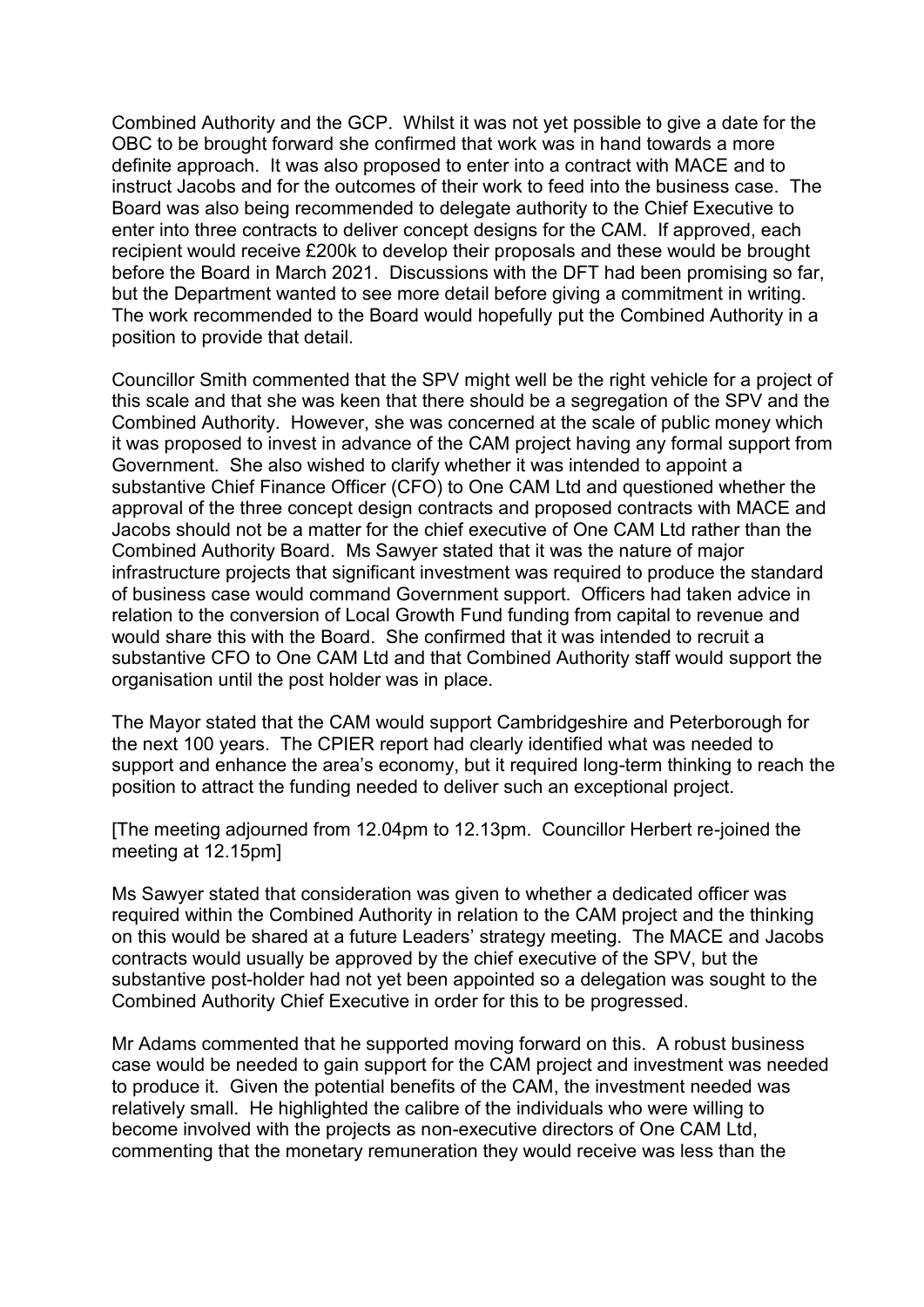Combined Authority and the GCP. Whilst it was not yet possible to give a date for the OBC to be brought forward she confirmed that work was in hand towards a more definite approach. It was also proposed to enter into a contract with MACE and to instruct Jacobs and for the outcomes of their work to feed into the business case. The Board was also being recommended to delegate authority to the Chief Executive to enter into three contracts to deliver concept designs for the CAM. If approved, each recipient would receive £200k to develop their proposals and these would be brought before the Board in March 2021. Discussions with the DFT had been promising so far, but the Department wanted to see more detail before giving a commitment in writing. The work recommended to the Board would hopefully put the Combined Authority in a position to provide that detail.

Councillor Smith commented that the SPV might well be the right vehicle for a project of this scale and that she was keen that there should be a segregation of the SPV and the Combined Authority. However, she was concerned at the scale of public money which it was proposed to invest in advance of the CAM project having any formal support from Government. She also wished to clarify whether it was intended to appoint a substantive Chief Finance Officer (CFO) to One CAM Ltd and questioned whether the approval of the three concept design contracts and proposed contracts with MACE and Jacobs should not be a matter for the chief executive of One CAM Ltd rather than the Combined Authority Board. Ms Sawyer stated that it was the nature of major infrastructure projects that significant investment was required to produce the standard of business case would command Government support. Officers had taken advice in relation to the conversion of Local Growth Fund funding from capital to revenue and would share this with the Board. She confirmed that it was intended to recruit a substantive CFO to One CAM Ltd and that Combined Authority staff would support the organisation until the post holder was in place.

The Mayor stated that the CAM would support Cambridgeshire and Peterborough for the next 100 years. The CPIER report had clearly identified what was needed to support and enhance the area's economy, but it required long-term thinking to reach the position to attract the funding needed to deliver such an exceptional project.

[The meeting adjourned from 12.04pm to 12.13pm. Councillor Herbert re-joined the meeting at 12.15pm]

Ms Sawyer stated that consideration was given to whether a dedicated officer was required within the Combined Authority in relation to the CAM project and the thinking on this would be shared at a future Leaders' strategy meeting. The MACE and Jacobs contracts would usually be approved by the chief executive of the SPV, but the substantive post-holder had not yet been appointed so a delegation was sought to the Combined Authority Chief Executive in order for this to be progressed.

Mr Adams commented that he supported moving forward on this. A robust business case would be needed to gain support for the CAM project and investment was needed to produce it. Given the potential benefits of the CAM, the investment needed was relatively small. He highlighted the calibre of the individuals who were willing to become involved with the projects as non-executive directors of One CAM Ltd, commenting that the monetary remuneration they would receive was less than the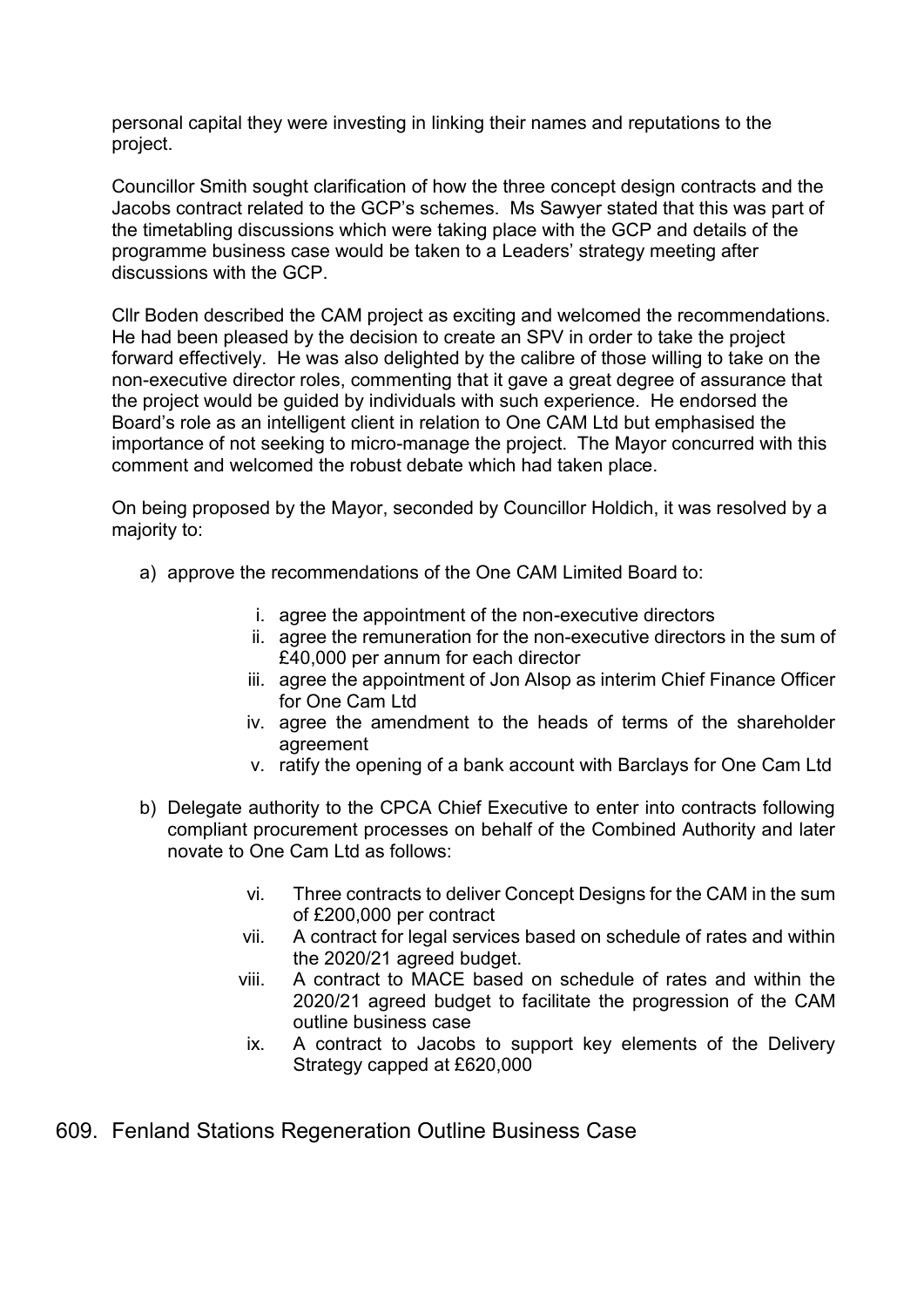personal capital they were investing in linking their names and reputations to the project.

Councillor Smith sought clarification of how the three concept design contracts and the Jacobs contract related to the GCP's schemes. Ms Sawyer stated that this was part of the timetabling discussions which were taking place with the GCP and details of the programme business case would be taken to a Leaders' strategy meeting after discussions with the GCP.

Cllr Boden described the CAM project as exciting and welcomed the recommendations. He had been pleased by the decision to create an SPV in order to take the project forward effectively. He was also delighted by the calibre of those willing to take on the non-executive director roles, commenting that it gave a great degree of assurance that the project would be guided by individuals with such experience. He endorsed the Board's role as an intelligent client in relation to One CAM Ltd but emphasised the importance of not seeking to micro-manage the project. The Mayor concurred with this comment and welcomed the robust debate which had taken place.

On being proposed by the Mayor, seconded by Councillor Holdich, it was resolved by a majority to:

- a) approve the recommendations of the One CAM Limited Board to:
	- i. agree the appointment of the non-executive directors
	- ii. agree the remuneration for the non-executive directors in the sum of £40,000 per annum for each director
	- iii. agree the appointment of Jon Alsop as interim Chief Finance Officer for One Cam Ltd
	- iv. agree the amendment to the heads of terms of the shareholder agreement
	- v. ratify the opening of a bank account with Barclays for One Cam Ltd
- b) Delegate authority to the CPCA Chief Executive to enter into contracts following compliant procurement processes on behalf of the Combined Authority and later novate to One Cam Ltd as follows:
	- vi. Three contracts to deliver Concept Designs for the CAM in the sum of £200,000 per contract
	- vii. A contract for legal services based on schedule of rates and within the 2020/21 agreed budget.
	- viii. A contract to MACE based on schedule of rates and within the 2020/21 agreed budget to facilitate the progression of the CAM outline business case
	- ix. A contract to Jacobs to support key elements of the Delivery Strategy capped at £620,000

609. Fenland Stations Regeneration Outline Business Case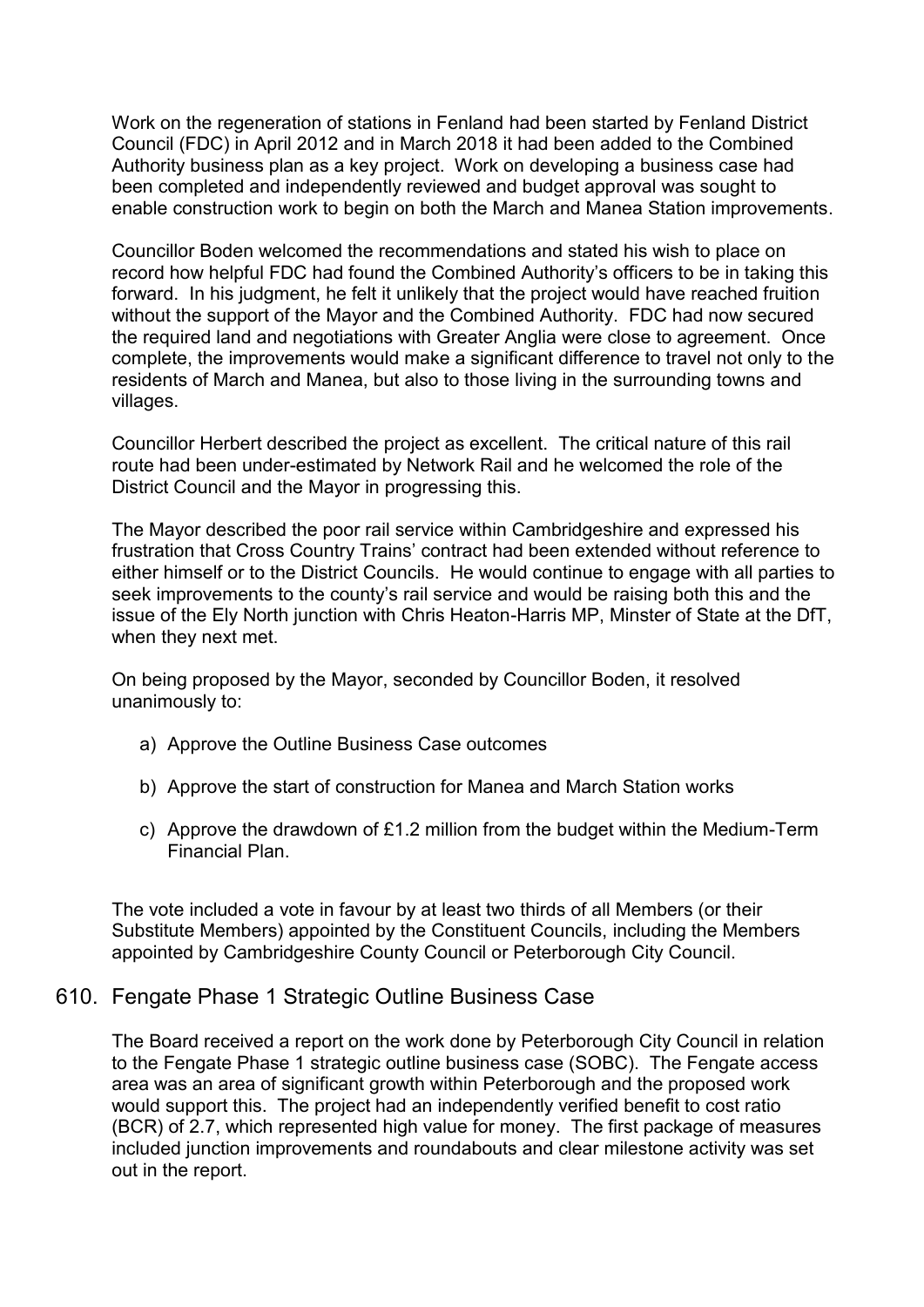Work on the regeneration of stations in Fenland had been started by Fenland District Council (FDC) in April 2012 and in March 2018 it had been added to the Combined Authority business plan as a key project. Work on developing a business case had been completed and independently reviewed and budget approval was sought to enable construction work to begin on both the March and Manea Station improvements.

Councillor Boden welcomed the recommendations and stated his wish to place on record how helpful FDC had found the Combined Authority's officers to be in taking this forward. In his judgment, he felt it unlikely that the project would have reached fruition without the support of the Mayor and the Combined Authority. FDC had now secured the required land and negotiations with Greater Anglia were close to agreement. Once complete, the improvements would make a significant difference to travel not only to the residents of March and Manea, but also to those living in the surrounding towns and villages.

Councillor Herbert described the project as excellent. The critical nature of this rail route had been under-estimated by Network Rail and he welcomed the role of the District Council and the Mayor in progressing this.

The Mayor described the poor rail service within Cambridgeshire and expressed his frustration that Cross Country Trains' contract had been extended without reference to either himself or to the District Councils. He would continue to engage with all parties to seek improvements to the county's rail service and would be raising both this and the issue of the Ely North junction with Chris Heaton-Harris MP, Minster of State at the DfT, when they next met.

On being proposed by the Mayor, seconded by Councillor Boden, it resolved unanimously to:

- a) Approve the Outline Business Case outcomes
- b) Approve the start of construction for Manea and March Station works
- c) Approve the drawdown of £1.2 million from the budget within the Medium-Term Financial Plan.

The vote included a vote in favour by at least two thirds of all Members (or their Substitute Members) appointed by the Constituent Councils, including the Members appointed by Cambridgeshire County Council or Peterborough City Council.

# 610. Fengate Phase 1 Strategic Outline Business Case

The Board received a report on the work done by Peterborough City Council in relation to the Fengate Phase 1 strategic outline business case (SOBC). The Fengate access area was an area of significant growth within Peterborough and the proposed work would support this. The project had an independently verified benefit to cost ratio (BCR) of 2.7, which represented high value for money. The first package of measures included junction improvements and roundabouts and clear milestone activity was set out in the report.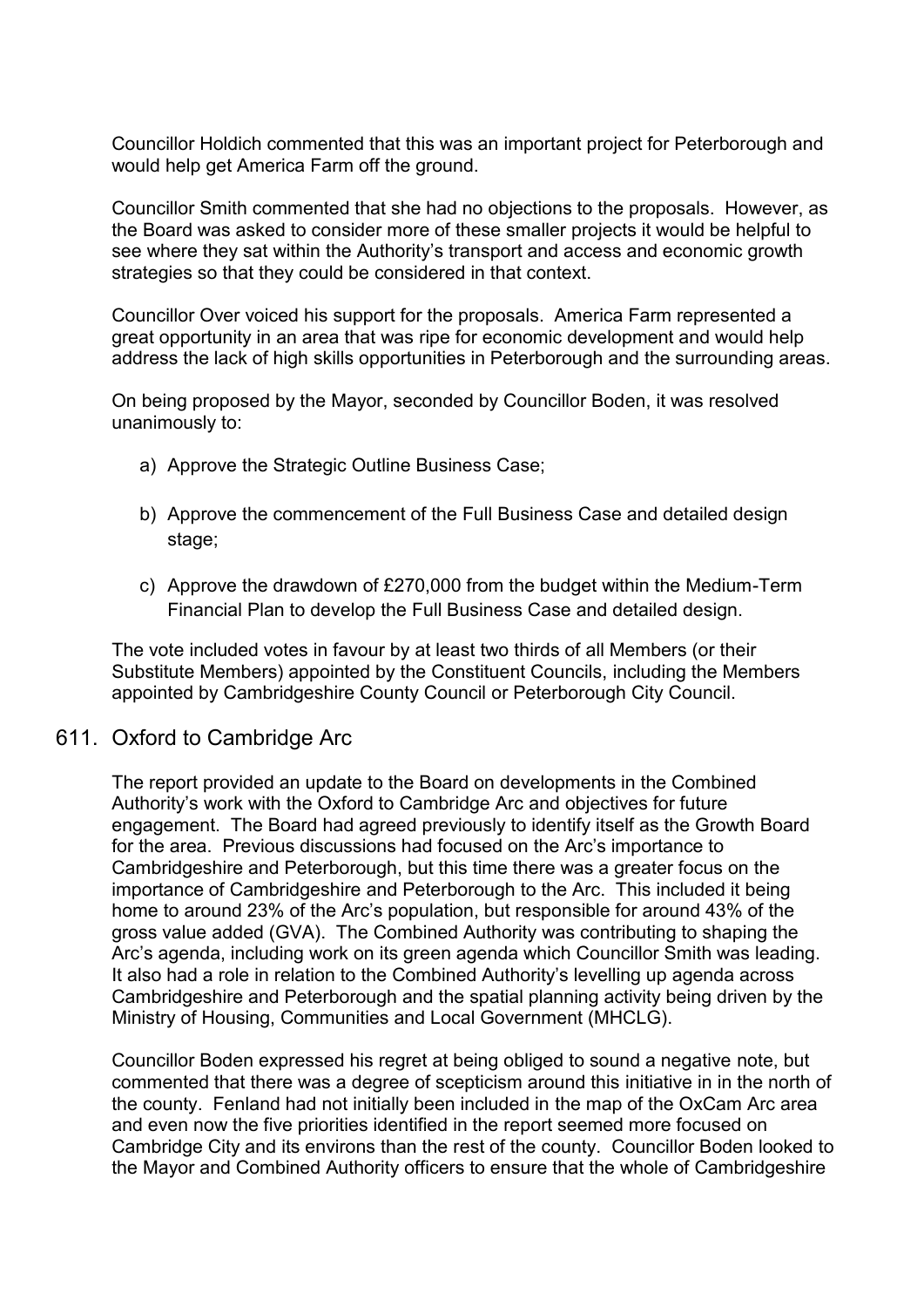Councillor Holdich commented that this was an important project for Peterborough and would help get America Farm off the ground.

Councillor Smith commented that she had no objections to the proposals. However, as the Board was asked to consider more of these smaller projects it would be helpful to see where they sat within the Authority's transport and access and economic growth strategies so that they could be considered in that context.

Councillor Over voiced his support for the proposals. America Farm represented a great opportunity in an area that was ripe for economic development and would help address the lack of high skills opportunities in Peterborough and the surrounding areas.

On being proposed by the Mayor, seconded by Councillor Boden, it was resolved unanimously to:

- a) Approve the Strategic Outline Business Case;
- b) Approve the commencement of the Full Business Case and detailed design stage;
- c) Approve the drawdown of £270,000 from the budget within the Medium-Term Financial Plan to develop the Full Business Case and detailed design.

The vote included votes in favour by at least two thirds of all Members (or their Substitute Members) appointed by the Constituent Councils, including the Members appointed by Cambridgeshire County Council or Peterborough City Council.

# 611. Oxford to Cambridge Arc

The report provided an update to the Board on developments in the Combined Authority's work with the Oxford to Cambridge Arc and objectives for future engagement. The Board had agreed previously to identify itself as the Growth Board for the area. Previous discussions had focused on the Arc's importance to Cambridgeshire and Peterborough, but this time there was a greater focus on the importance of Cambridgeshire and Peterborough to the Arc. This included it being home to around 23% of the Arc's population, but responsible for around 43% of the gross value added (GVA). The Combined Authority was contributing to shaping the Arc's agenda, including work on its green agenda which Councillor Smith was leading. It also had a role in relation to the Combined Authority's levelling up agenda across Cambridgeshire and Peterborough and the spatial planning activity being driven by the Ministry of Housing, Communities and Local Government (MHCLG).

Councillor Boden expressed his regret at being obliged to sound a negative note, but commented that there was a degree of scepticism around this initiative in in the north of the county. Fenland had not initially been included in the map of the OxCam Arc area and even now the five priorities identified in the report seemed more focused on Cambridge City and its environs than the rest of the county. Councillor Boden looked to the Mayor and Combined Authority officers to ensure that the whole of Cambridgeshire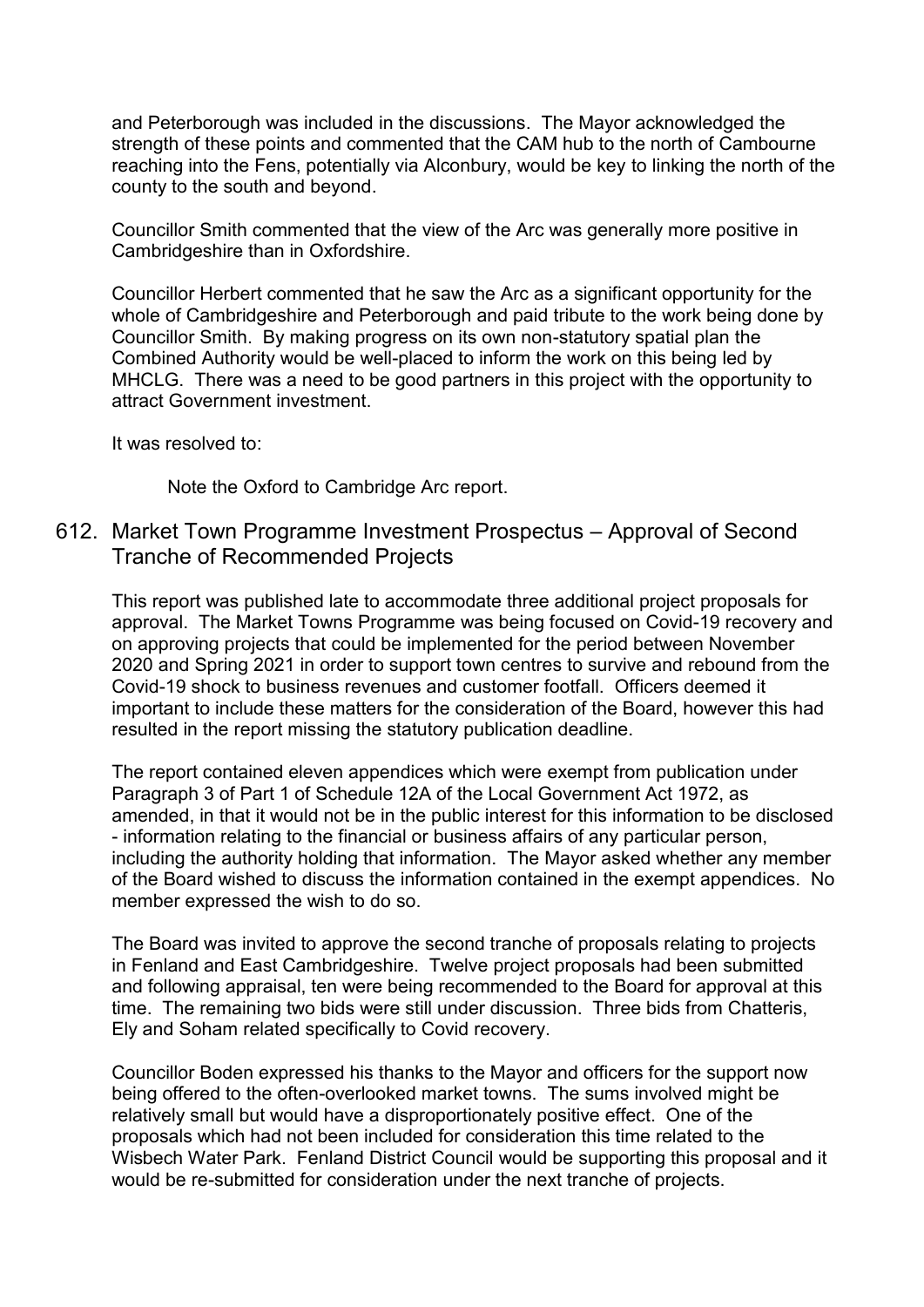and Peterborough was included in the discussions. The Mayor acknowledged the strength of these points and commented that the CAM hub to the north of Cambourne reaching into the Fens, potentially via Alconbury, would be key to linking the north of the county to the south and beyond.

Councillor Smith commented that the view of the Arc was generally more positive in Cambridgeshire than in Oxfordshire.

Councillor Herbert commented that he saw the Arc as a significant opportunity for the whole of Cambridgeshire and Peterborough and paid tribute to the work being done by Councillor Smith. By making progress on its own non-statutory spatial plan the Combined Authority would be well-placed to inform the work on this being led by MHCLG. There was a need to be good partners in this project with the opportunity to attract Government investment.

It was resolved to:

Note the Oxford to Cambridge Arc report.

# 612. Market Town Programme Investment Prospectus – Approval of Second Tranche of Recommended Projects

This report was published late to accommodate three additional project proposals for approval. The Market Towns Programme was being focused on Covid-19 recovery and on approving projects that could be implemented for the period between November 2020 and Spring 2021 in order to support town centres to survive and rebound from the Covid-19 shock to business revenues and customer footfall. Officers deemed it important to include these matters for the consideration of the Board, however this had resulted in the report missing the statutory publication deadline.

The report contained eleven appendices which were exempt from publication under Paragraph 3 of Part 1 of Schedule 12A of the Local Government Act 1972, as amended, in that it would not be in the public interest for this information to be disclosed - information relating to the financial or business affairs of any particular person, including the authority holding that information. The Mayor asked whether any member of the Board wished to discuss the information contained in the exempt appendices. No member expressed the wish to do so.

The Board was invited to approve the second tranche of proposals relating to projects in Fenland and East Cambridgeshire. Twelve project proposals had been submitted and following appraisal, ten were being recommended to the Board for approval at this time. The remaining two bids were still under discussion. Three bids from Chatteris, Ely and Soham related specifically to Covid recovery.

Councillor Boden expressed his thanks to the Mayor and officers for the support now being offered to the often-overlooked market towns. The sums involved might be relatively small but would have a disproportionately positive effect. One of the proposals which had not been included for consideration this time related to the Wisbech Water Park. Fenland District Council would be supporting this proposal and it would be re-submitted for consideration under the next tranche of projects.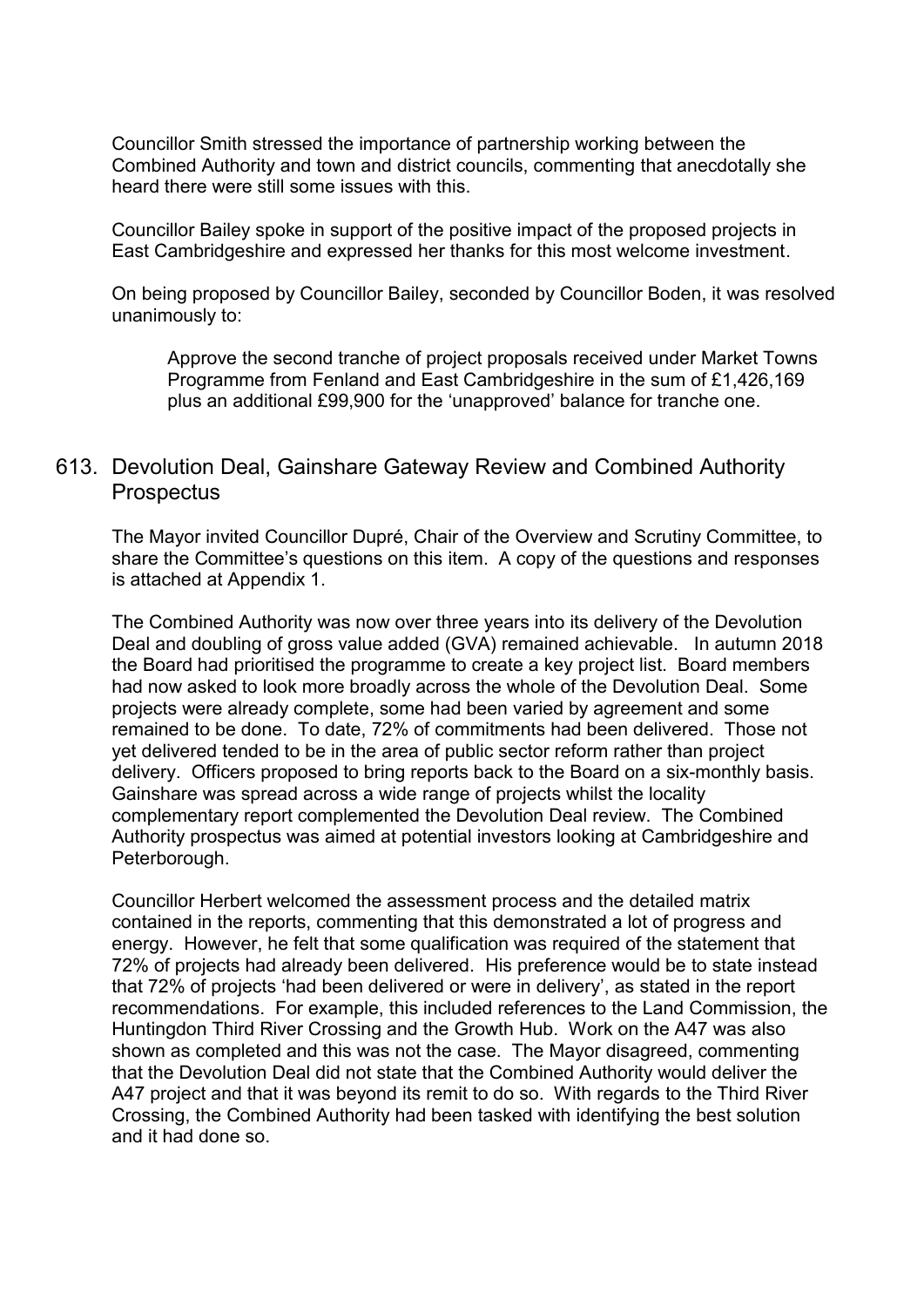Councillor Smith stressed the importance of partnership working between the Combined Authority and town and district councils, commenting that anecdotally she heard there were still some issues with this.

Councillor Bailey spoke in support of the positive impact of the proposed projects in East Cambridgeshire and expressed her thanks for this most welcome investment.

On being proposed by Councillor Bailey, seconded by Councillor Boden, it was resolved unanimously to:

Approve the second tranche of project proposals received under Market Towns Programme from Fenland and East Cambridgeshire in the sum of £1,426,169 plus an additional £99,900 for the 'unapproved' balance for tranche one.

# 613. Devolution Deal, Gainshare Gateway Review and Combined Authority **Prospectus**

The Mayor invited Councillor Dupré, Chair of the Overview and Scrutiny Committee, to share the Committee's questions on this item. A copy of the questions and responses is attached at Appendix 1.

The Combined Authority was now over three years into its delivery of the Devolution Deal and doubling of gross value added (GVA) remained achievable. In autumn 2018 the Board had prioritised the programme to create a key project list. Board members had now asked to look more broadly across the whole of the Devolution Deal. Some projects were already complete, some had been varied by agreement and some remained to be done. To date, 72% of commitments had been delivered. Those not yet delivered tended to be in the area of public sector reform rather than project delivery. Officers proposed to bring reports back to the Board on a six-monthly basis. Gainshare was spread across a wide range of projects whilst the locality complementary report complemented the Devolution Deal review. The Combined Authority prospectus was aimed at potential investors looking at Cambridgeshire and Peterborough.

Councillor Herbert welcomed the assessment process and the detailed matrix contained in the reports, commenting that this demonstrated a lot of progress and energy. However, he felt that some qualification was required of the statement that 72% of projects had already been delivered. His preference would be to state instead that 72% of projects 'had been delivered or were in delivery', as stated in the report recommendations. For example, this included references to the Land Commission, the Huntingdon Third River Crossing and the Growth Hub. Work on the A47 was also shown as completed and this was not the case. The Mayor disagreed, commenting that the Devolution Deal did not state that the Combined Authority would deliver the A47 project and that it was beyond its remit to do so. With regards to the Third River Crossing, the Combined Authority had been tasked with identifying the best solution and it had done so.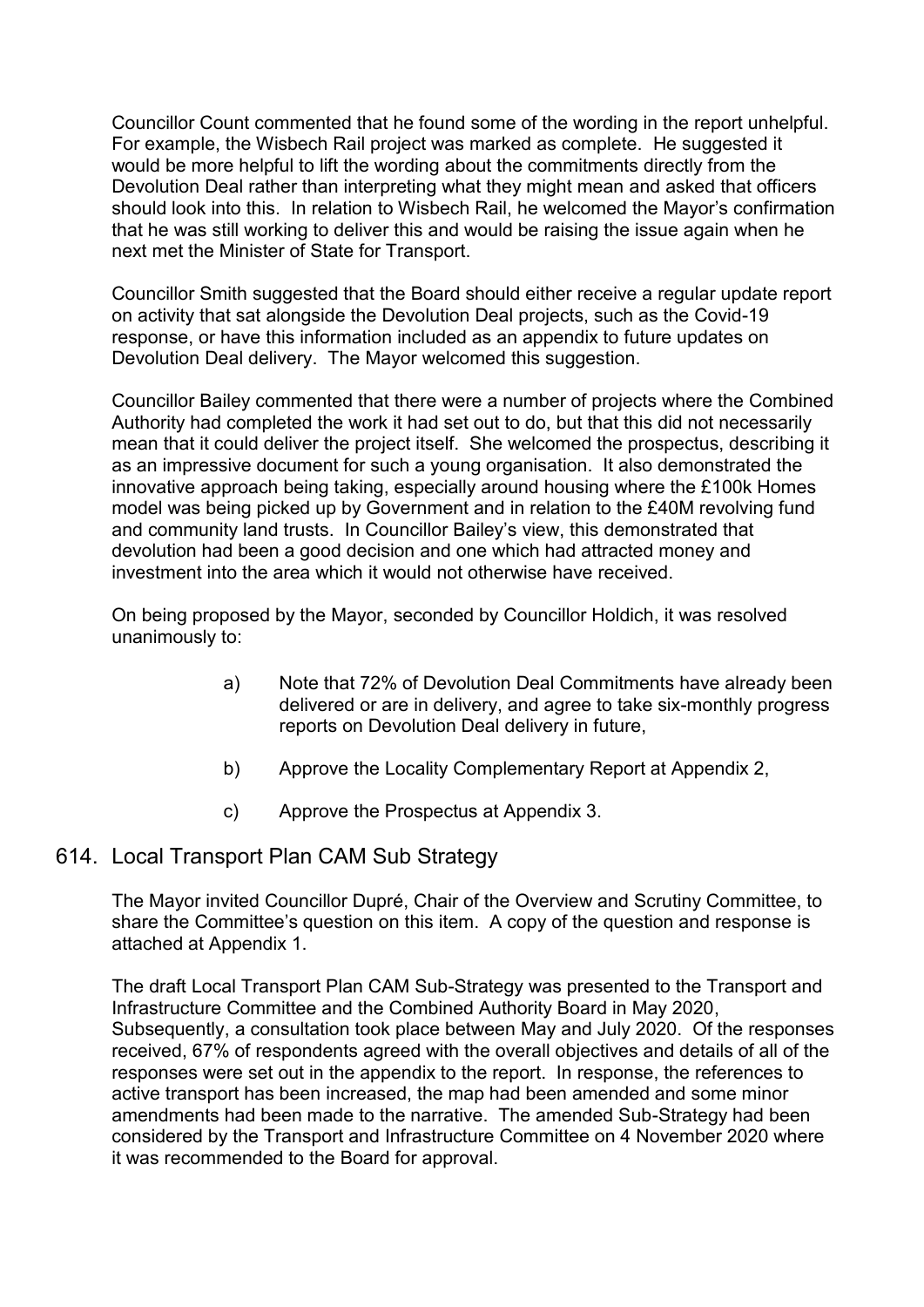Councillor Count commented that he found some of the wording in the report unhelpful. For example, the Wisbech Rail project was marked as complete. He suggested it would be more helpful to lift the wording about the commitments directly from the Devolution Deal rather than interpreting what they might mean and asked that officers should look into this. In relation to Wisbech Rail, he welcomed the Mayor's confirmation that he was still working to deliver this and would be raising the issue again when he next met the Minister of State for Transport.

Councillor Smith suggested that the Board should either receive a regular update report on activity that sat alongside the Devolution Deal projects, such as the Covid-19 response, or have this information included as an appendix to future updates on Devolution Deal delivery. The Mayor welcomed this suggestion.

Councillor Bailey commented that there were a number of projects where the Combined Authority had completed the work it had set out to do, but that this did not necessarily mean that it could deliver the project itself. She welcomed the prospectus, describing it as an impressive document for such a young organisation. It also demonstrated the innovative approach being taking, especially around housing where the £100k Homes model was being picked up by Government and in relation to the £40M revolving fund and community land trusts. In Councillor Bailey's view, this demonstrated that devolution had been a good decision and one which had attracted money and investment into the area which it would not otherwise have received.

On being proposed by the Mayor, seconded by Councillor Holdich, it was resolved unanimously to:

- a) Note that 72% of Devolution Deal Commitments have already been delivered or are in delivery, and agree to take six-monthly progress reports on Devolution Deal delivery in future,
- b) Approve the Locality Complementary Report at Appendix 2,
- c) Approve the Prospectus at Appendix 3.

# 614. Local Transport Plan CAM Sub Strategy

The Mayor invited Councillor Dupré, Chair of the Overview and Scrutiny Committee, to share the Committee's question on this item. A copy of the question and response is attached at Appendix 1.

The draft Local Transport Plan CAM Sub-Strategy was presented to the Transport and Infrastructure Committee and the Combined Authority Board in May 2020, Subsequently, a consultation took place between May and July 2020. Of the responses received, 67% of respondents agreed with the overall objectives and details of all of the responses were set out in the appendix to the report. In response, the references to active transport has been increased, the map had been amended and some minor amendments had been made to the narrative. The amended Sub-Strategy had been considered by the Transport and Infrastructure Committee on 4 November 2020 where it was recommended to the Board for approval.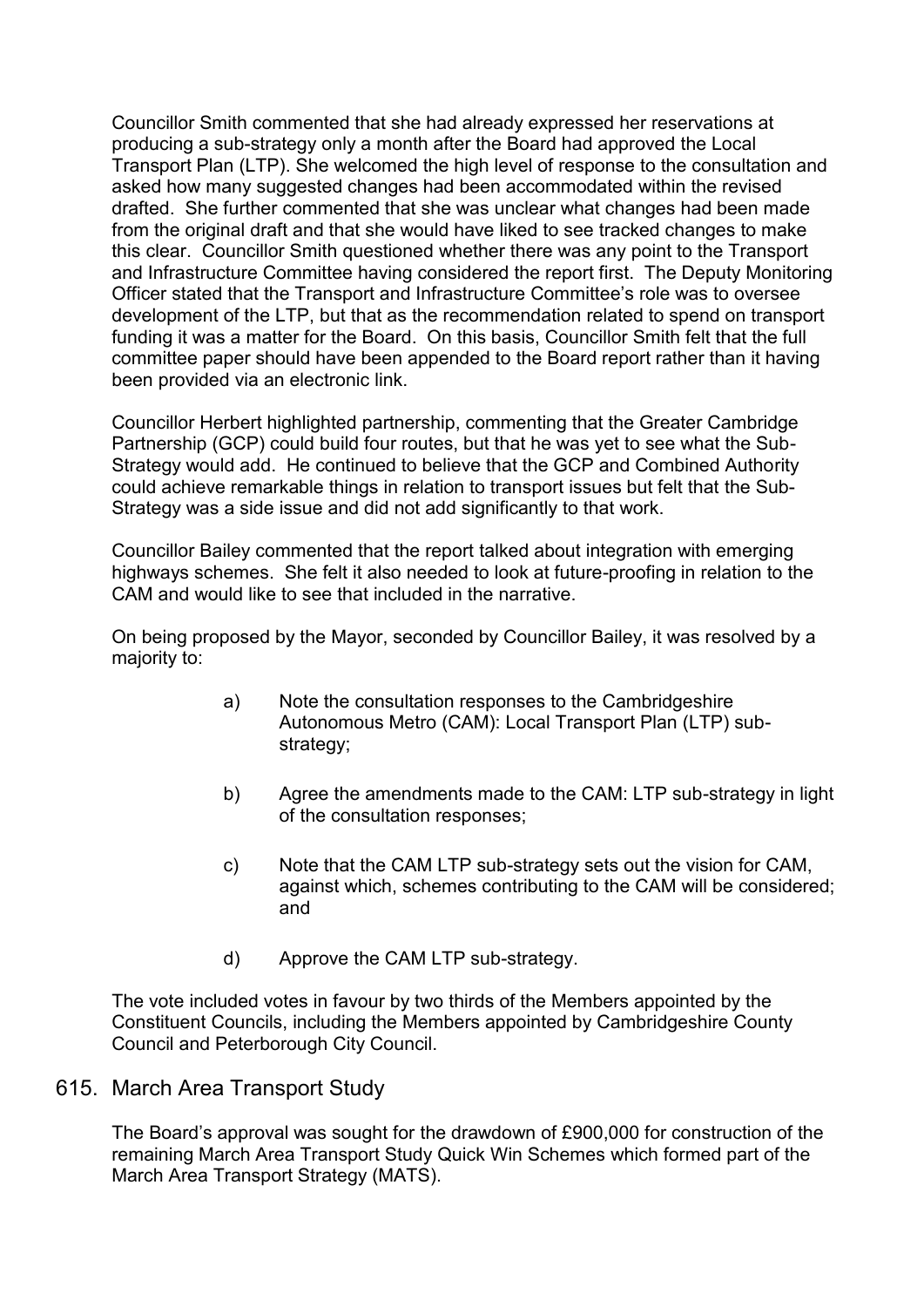Councillor Smith commented that she had already expressed her reservations at producing a sub-strategy only a month after the Board had approved the Local Transport Plan (LTP). She welcomed the high level of response to the consultation and asked how many suggested changes had been accommodated within the revised drafted. She further commented that she was unclear what changes had been made from the original draft and that she would have liked to see tracked changes to make this clear. Councillor Smith questioned whether there was any point to the Transport and Infrastructure Committee having considered the report first. The Deputy Monitoring Officer stated that the Transport and Infrastructure Committee's role was to oversee development of the LTP, but that as the recommendation related to spend on transport funding it was a matter for the Board. On this basis, Councillor Smith felt that the full committee paper should have been appended to the Board report rather than it having been provided via an electronic link.

Councillor Herbert highlighted partnership, commenting that the Greater Cambridge Partnership (GCP) could build four routes, but that he was yet to see what the Sub-Strategy would add. He continued to believe that the GCP and Combined Authority could achieve remarkable things in relation to transport issues but felt that the Sub-Strategy was a side issue and did not add significantly to that work.

Councillor Bailey commented that the report talked about integration with emerging highways schemes. She felt it also needed to look at future-proofing in relation to the CAM and would like to see that included in the narrative.

On being proposed by the Mayor, seconded by Councillor Bailey, it was resolved by a majority to:

- a) Note the consultation responses to the Cambridgeshire Autonomous Metro (CAM): Local Transport Plan (LTP) substrategy;
- b) Agree the amendments made to the CAM: LTP sub-strategy in light of the consultation responses;
- c) Note that the CAM LTP sub-strategy sets out the vision for CAM, against which, schemes contributing to the CAM will be considered; and
- d) Approve the CAM LTP sub-strategy.

The vote included votes in favour by two thirds of the Members appointed by the Constituent Councils, including the Members appointed by Cambridgeshire County Council and Peterborough City Council.

#### 615. March Area Transport Study

The Board's approval was sought for the drawdown of £900,000 for construction of the remaining March Area Transport Study Quick Win Schemes which formed part of the March Area Transport Strategy (MATS).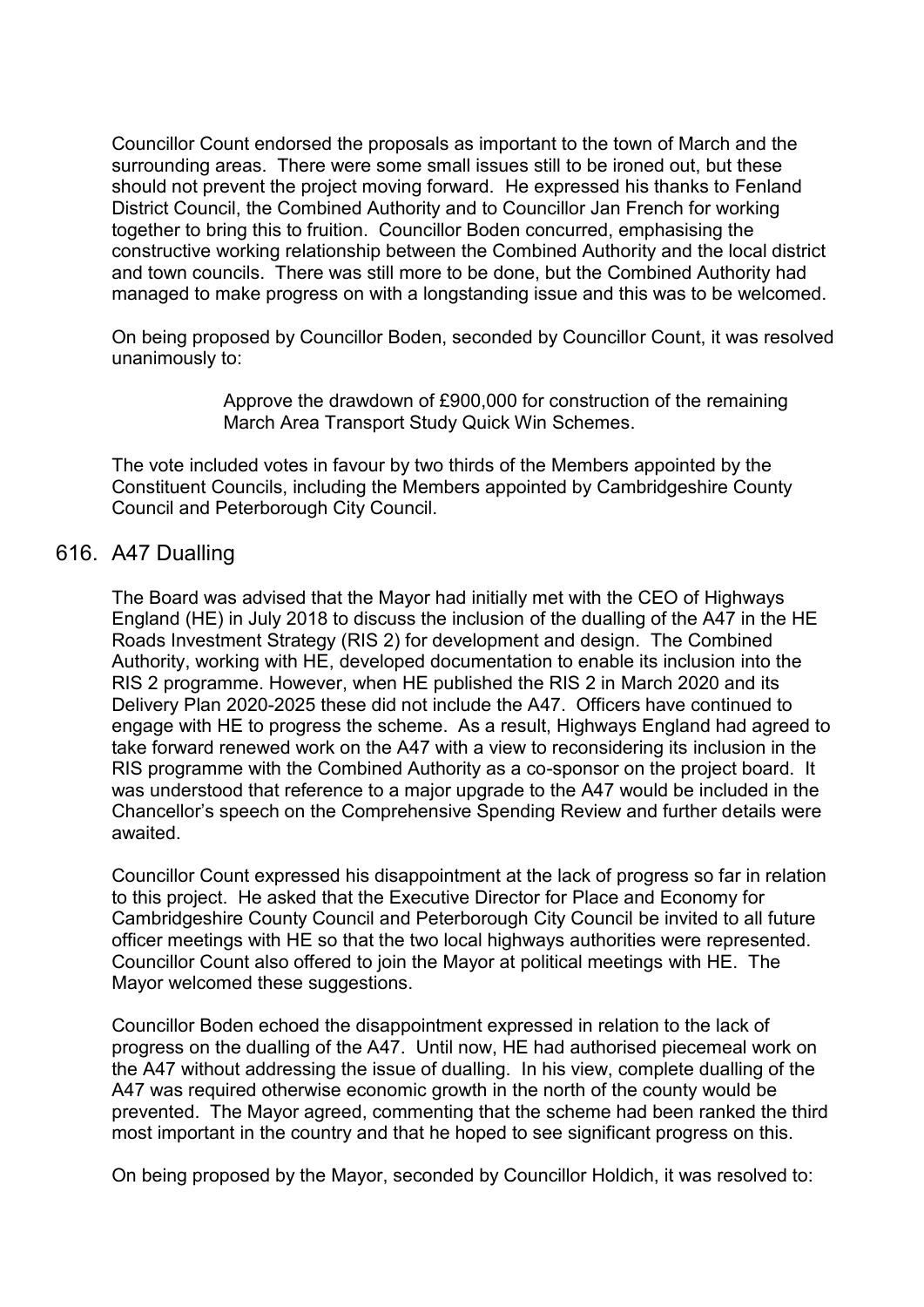Councillor Count endorsed the proposals as important to the town of March and the surrounding areas. There were some small issues still to be ironed out, but these should not prevent the project moving forward. He expressed his thanks to Fenland District Council, the Combined Authority and to Councillor Jan French for working together to bring this to fruition. Councillor Boden concurred, emphasising the constructive working relationship between the Combined Authority and the local district and town councils. There was still more to be done, but the Combined Authority had managed to make progress on with a longstanding issue and this was to be welcomed.

On being proposed by Councillor Boden, seconded by Councillor Count, it was resolved unanimously to:

> Approve the drawdown of £900,000 for construction of the remaining March Area Transport Study Quick Win Schemes.

The vote included votes in favour by two thirds of the Members appointed by the Constituent Councils, including the Members appointed by Cambridgeshire County Council and Peterborough City Council.

# 616. A47 Dualling

The Board was advised that the Mayor had initially met with the CEO of Highways England (HE) in July 2018 to discuss the inclusion of the dualling of the A47 in the HE Roads Investment Strategy (RIS 2) for development and design. The Combined Authority, working with HE, developed documentation to enable its inclusion into the RIS 2 programme. However, when HE published the RIS 2 in March 2020 and its Delivery Plan 2020-2025 these did not include the A47. Officers have continued to engage with HE to progress the scheme. As a result, Highways England had agreed to take forward renewed work on the A47 with a view to reconsidering its inclusion in the RIS programme with the Combined Authority as a co-sponsor on the project board. It was understood that reference to a major upgrade to the A47 would be included in the Chancellor's speech on the Comprehensive Spending Review and further details were awaited.

Councillor Count expressed his disappointment at the lack of progress so far in relation to this project. He asked that the Executive Director for Place and Economy for Cambridgeshire County Council and Peterborough City Council be invited to all future officer meetings with HE so that the two local highways authorities were represented. Councillor Count also offered to join the Mayor at political meetings with HE. The Mayor welcomed these suggestions.

Councillor Boden echoed the disappointment expressed in relation to the lack of progress on the dualling of the A47. Until now, HE had authorised piecemeal work on the A47 without addressing the issue of dualling. In his view, complete dualling of the A47 was required otherwise economic growth in the north of the county would be prevented. The Mayor agreed, commenting that the scheme had been ranked the third most important in the country and that he hoped to see significant progress on this.

On being proposed by the Mayor, seconded by Councillor Holdich, it was resolved to: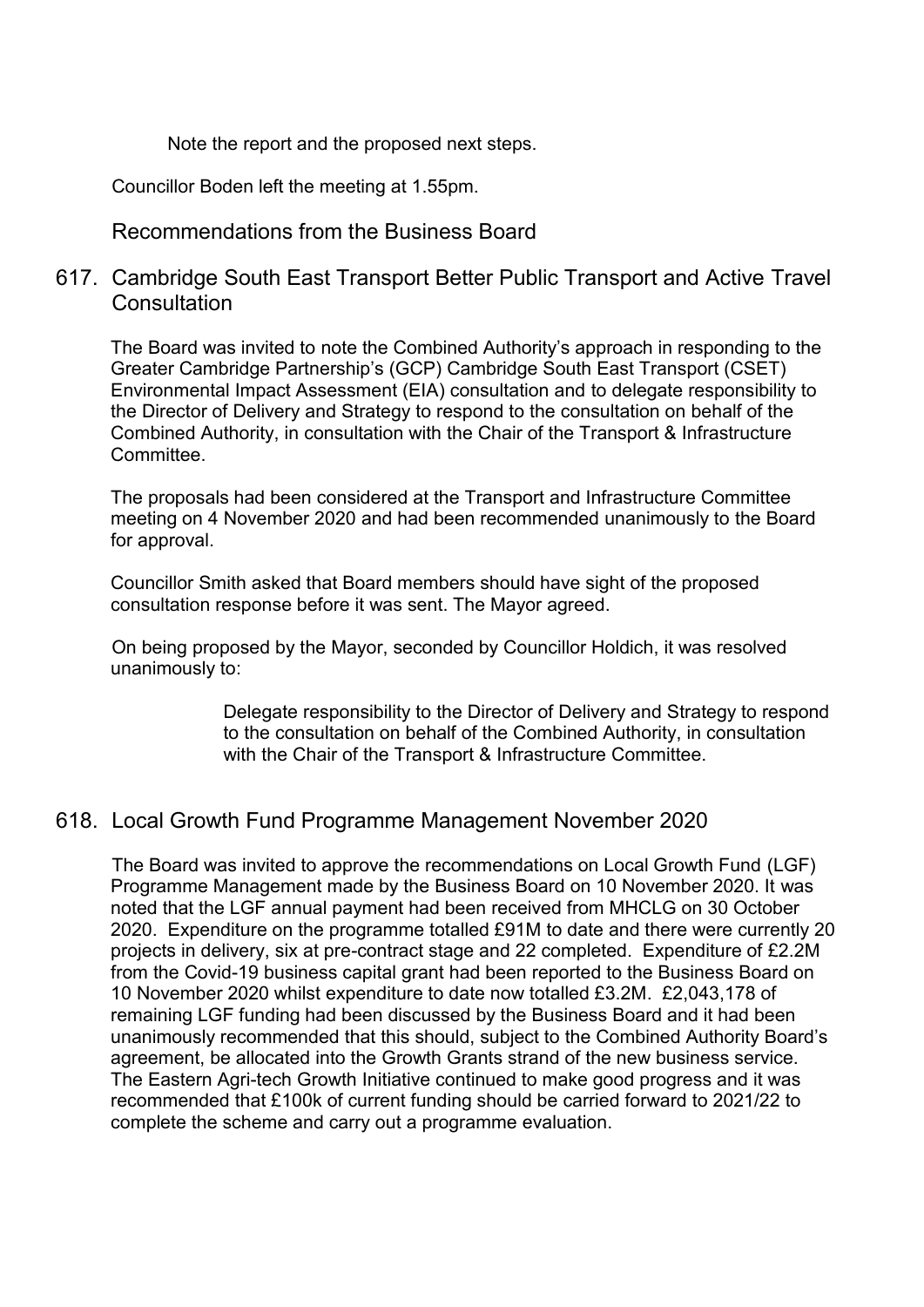Note the report and the proposed next steps.

Councillor Boden left the meeting at 1.55pm.

### Recommendations from the Business Board

# 617. Cambridge South East Transport Better Public Transport and Active Travel **Consultation**

The Board was invited to note the Combined Authority's approach in responding to the Greater Cambridge Partnership's (GCP) Cambridge South East Transport (CSET) Environmental Impact Assessment (EIA) consultation and to delegate responsibility to the Director of Delivery and Strategy to respond to the consultation on behalf of the Combined Authority, in consultation with the Chair of the Transport & Infrastructure **Committee** 

The proposals had been considered at the Transport and Infrastructure Committee meeting on 4 November 2020 and had been recommended unanimously to the Board for approval.

Councillor Smith asked that Board members should have sight of the proposed consultation response before it was sent. The Mayor agreed.

On being proposed by the Mayor, seconded by Councillor Holdich, it was resolved unanimously to:

> Delegate responsibility to the Director of Delivery and Strategy to respond to the consultation on behalf of the Combined Authority, in consultation with the Chair of the Transport & Infrastructure Committee.

# 618. Local Growth Fund Programme Management November 2020

 The Board was invited to approve the recommendations on Local Growth Fund (LGF) Programme Management made by the Business Board on 10 November 2020. It was noted that the LGF annual payment had been received from MHCLG on 30 October 2020. Expenditure on the programme totalled £91M to date and there were currently 20 projects in delivery, six at pre-contract stage and 22 completed. Expenditure of £2.2M from the Covid-19 business capital grant had been reported to the Business Board on 10 November 2020 whilst expenditure to date now totalled £3.2M. £2,043,178 of remaining LGF funding had been discussed by the Business Board and it had been unanimously recommended that this should, subject to the Combined Authority Board's agreement, be allocated into the Growth Grants strand of the new business service. The Eastern Agri-tech Growth Initiative continued to make good progress and it was recommended that £100k of current funding should be carried forward to 2021/22 to complete the scheme and carry out a programme evaluation.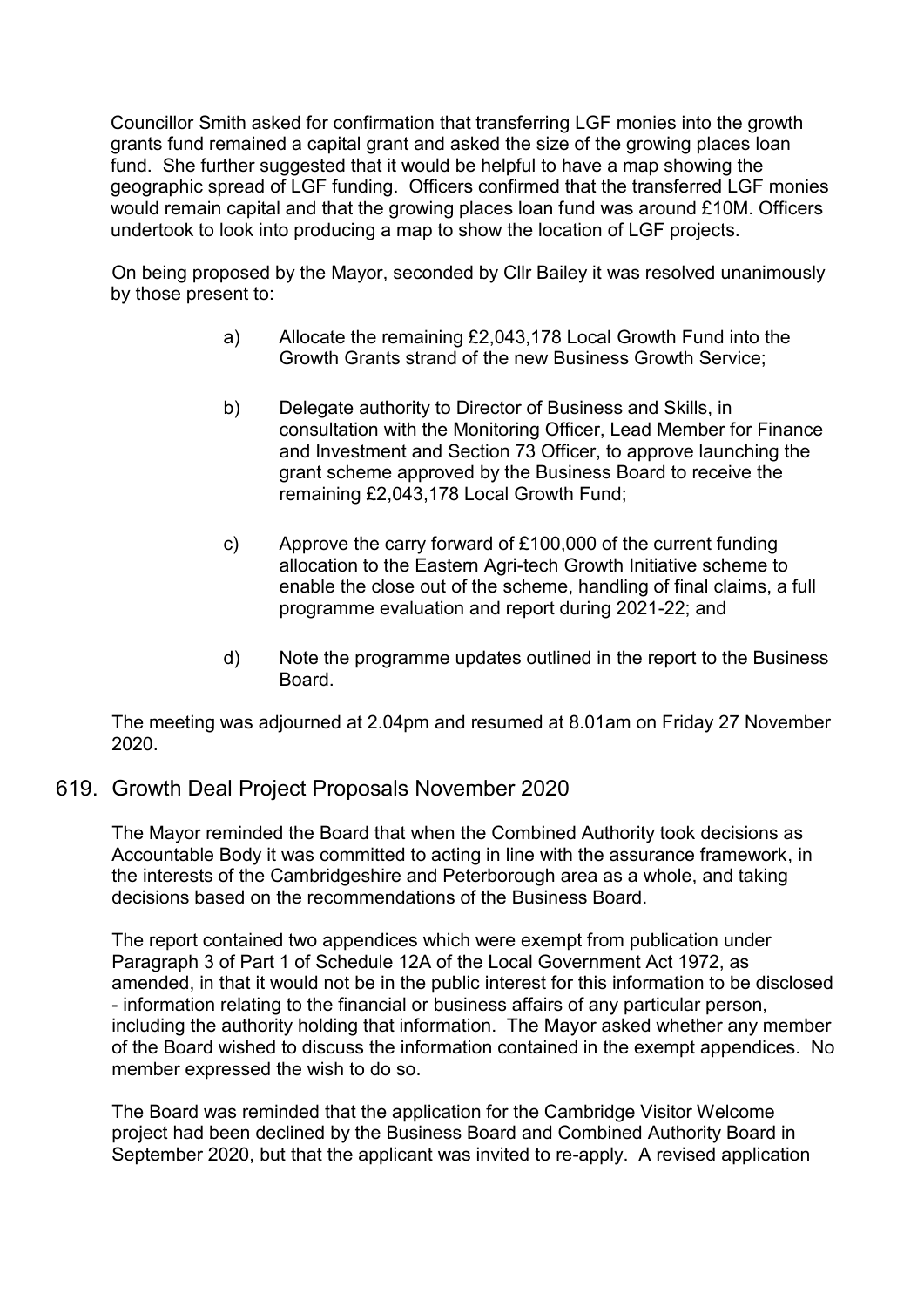Councillor Smith asked for confirmation that transferring LGF monies into the growth grants fund remained a capital grant and asked the size of the growing places loan fund. She further suggested that it would be helpful to have a map showing the geographic spread of LGF funding. Officers confirmed that the transferred LGF monies would remain capital and that the growing places loan fund was around £10M. Officers undertook to look into producing a map to show the location of LGF projects.

On being proposed by the Mayor, seconded by Cllr Bailey it was resolved unanimously by those present to:

- a) Allocate the remaining £2,043,178 Local Growth Fund into the Growth Grants strand of the new Business Growth Service;
- b) Delegate authority to Director of Business and Skills, in consultation with the Monitoring Officer, Lead Member for Finance and Investment and Section 73 Officer, to approve launching the grant scheme approved by the Business Board to receive the remaining £2,043,178 Local Growth Fund;
- c) Approve the carry forward of £100,000 of the current funding allocation to the Eastern Agri-tech Growth Initiative scheme to enable the close out of the scheme, handling of final claims, a full programme evaluation and report during 2021-22; and
- d) Note the programme updates outlined in the report to the Business Board.

The meeting was adjourned at 2.04pm and resumed at 8.01am on Friday 27 November 2020.

# 619. Growth Deal Project Proposals November 2020

The Mayor reminded the Board that when the Combined Authority took decisions as Accountable Body it was committed to acting in line with the assurance framework, in the interests of the Cambridgeshire and Peterborough area as a whole, and taking decisions based on the recommendations of the Business Board.

The report contained two appendices which were exempt from publication under Paragraph 3 of Part 1 of Schedule 12A of the Local Government Act 1972, as amended, in that it would not be in the public interest for this information to be disclosed - information relating to the financial or business affairs of any particular person, including the authority holding that information. The Mayor asked whether any member of the Board wished to discuss the information contained in the exempt appendices. No member expressed the wish to do so.

The Board was reminded that the application for the Cambridge Visitor Welcome project had been declined by the Business Board and Combined Authority Board in September 2020, but that the applicant was invited to re-apply. A revised application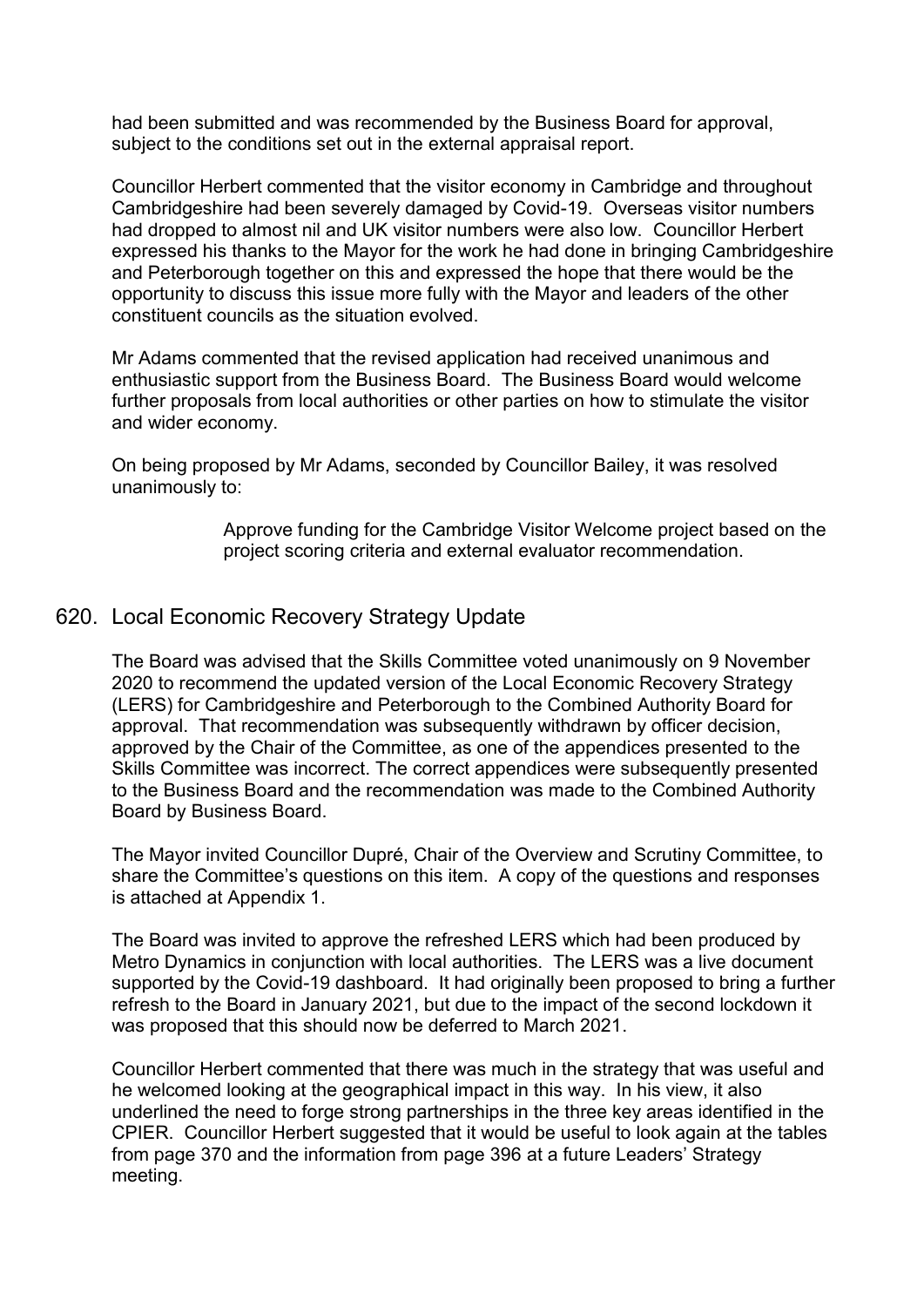had been submitted and was recommended by the Business Board for approval, subject to the conditions set out in the external appraisal report.

Councillor Herbert commented that the visitor economy in Cambridge and throughout Cambridgeshire had been severely damaged by Covid-19. Overseas visitor numbers had dropped to almost nil and UK visitor numbers were also low. Councillor Herbert expressed his thanks to the Mayor for the work he had done in bringing Cambridgeshire and Peterborough together on this and expressed the hope that there would be the opportunity to discuss this issue more fully with the Mayor and leaders of the other constituent councils as the situation evolved.

Mr Adams commented that the revised application had received unanimous and enthusiastic support from the Business Board. The Business Board would welcome further proposals from local authorities or other parties on how to stimulate the visitor and wider economy.

On being proposed by Mr Adams, seconded by Councillor Bailey, it was resolved unanimously to:

> Approve funding for the Cambridge Visitor Welcome project based on the project scoring criteria and external evaluator recommendation.

# 620. Local Economic Recovery Strategy Update

The Board was advised that the Skills Committee voted unanimously on 9 November 2020 to recommend the updated version of the Local Economic Recovery Strategy (LERS) for Cambridgeshire and Peterborough to the Combined Authority Board for approval. That recommendation was subsequently withdrawn by officer decision, approved by the Chair of the Committee, as one of the appendices presented to the Skills Committee was incorrect. The correct appendices were subsequently presented to the Business Board and the recommendation was made to the Combined Authority Board by Business Board.

The Mayor invited Councillor Dupré, Chair of the Overview and Scrutiny Committee, to share the Committee's questions on this item. A copy of the questions and responses is attached at Appendix 1.

The Board was invited to approve the refreshed LERS which had been produced by Metro Dynamics in conjunction with local authorities. The LERS was a live document supported by the Covid-19 dashboard. It had originally been proposed to bring a further refresh to the Board in January 2021, but due to the impact of the second lockdown it was proposed that this should now be deferred to March 2021.

Councillor Herbert commented that there was much in the strategy that was useful and he welcomed looking at the geographical impact in this way. In his view, it also underlined the need to forge strong partnerships in the three key areas identified in the CPIER. Councillor Herbert suggested that it would be useful to look again at the tables from page 370 and the information from page 396 at a future Leaders' Strategy meeting.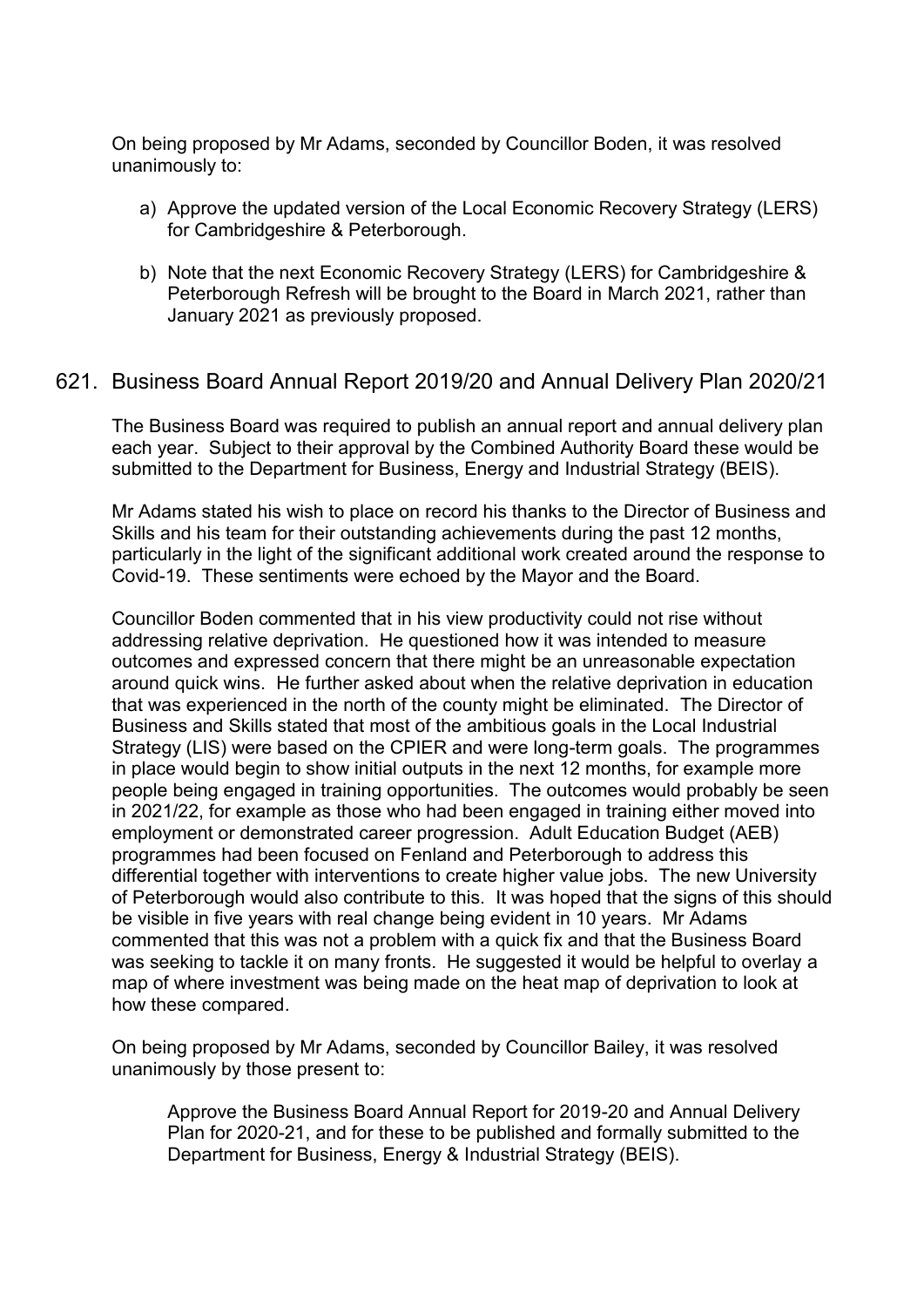On being proposed by Mr Adams, seconded by Councillor Boden, it was resolved unanimously to:

- a) Approve the updated version of the Local Economic Recovery Strategy (LERS) for Cambridgeshire & Peterborough.
- b) Note that the next Economic Recovery Strategy (LERS) for Cambridgeshire & Peterborough Refresh will be brought to the Board in March 2021, rather than January 2021 as previously proposed.

# 621. Business Board Annual Report 2019/20 and Annual Delivery Plan 2020/21

The Business Board was required to publish an annual report and annual delivery plan each year. Subject to their approval by the Combined Authority Board these would be submitted to the Department for Business, Energy and Industrial Strategy (BEIS).

Mr Adams stated his wish to place on record his thanks to the Director of Business and Skills and his team for their outstanding achievements during the past 12 months, particularly in the light of the significant additional work created around the response to Covid-19. These sentiments were echoed by the Mayor and the Board.

Councillor Boden commented that in his view productivity could not rise without addressing relative deprivation. He questioned how it was intended to measure outcomes and expressed concern that there might be an unreasonable expectation around quick wins. He further asked about when the relative deprivation in education that was experienced in the north of the county might be eliminated. The Director of Business and Skills stated that most of the ambitious goals in the Local Industrial Strategy (LIS) were based on the CPIER and were long-term goals. The programmes in place would begin to show initial outputs in the next 12 months, for example more people being engaged in training opportunities. The outcomes would probably be seen in 2021/22, for example as those who had been engaged in training either moved into employment or demonstrated career progression. Adult Education Budget (AEB) programmes had been focused on Fenland and Peterborough to address this differential together with interventions to create higher value jobs. The new University of Peterborough would also contribute to this. It was hoped that the signs of this should be visible in five years with real change being evident in 10 years. Mr Adams commented that this was not a problem with a quick fix and that the Business Board was seeking to tackle it on many fronts. He suggested it would be helpful to overlay a map of where investment was being made on the heat map of deprivation to look at how these compared.

On being proposed by Mr Adams, seconded by Councillor Bailey, it was resolved unanimously by those present to:

Approve the Business Board Annual Report for 2019-20 and Annual Delivery Plan for 2020-21, and for these to be published and formally submitted to the Department for Business, Energy & Industrial Strategy (BEIS).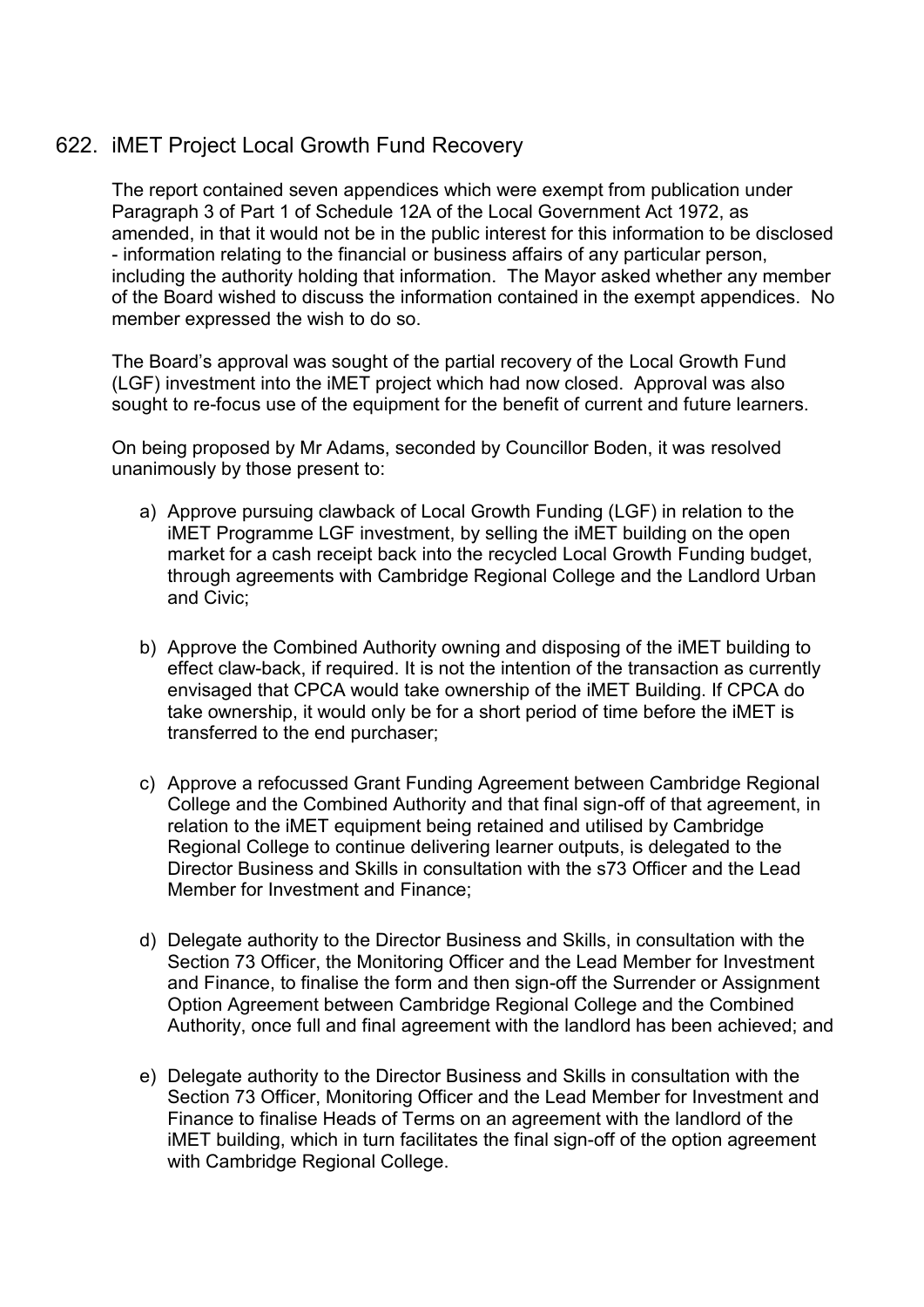# 622. iMET Project Local Growth Fund Recovery

The report contained seven appendices which were exempt from publication under Paragraph 3 of Part 1 of Schedule 12A of the Local Government Act 1972, as amended, in that it would not be in the public interest for this information to be disclosed - information relating to the financial or business affairs of any particular person, including the authority holding that information. The Mayor asked whether any member of the Board wished to discuss the information contained in the exempt appendices. No member expressed the wish to do so.

The Board's approval was sought of the partial recovery of the Local Growth Fund (LGF) investment into the iMET project which had now closed. Approval was also sought to re-focus use of the equipment for the benefit of current and future learners.

On being proposed by Mr Adams, seconded by Councillor Boden, it was resolved unanimously by those present to:

- a) Approve pursuing clawback of Local Growth Funding (LGF) in relation to the iMET Programme LGF investment, by selling the iMET building on the open market for a cash receipt back into the recycled Local Growth Funding budget, through agreements with Cambridge Regional College and the Landlord Urban and Civic;
- b) Approve the Combined Authority owning and disposing of the iMET building to effect claw-back, if required. It is not the intention of the transaction as currently envisaged that CPCA would take ownership of the iMET Building. If CPCA do take ownership, it would only be for a short period of time before the iMET is transferred to the end purchaser;
- c) Approve a refocussed Grant Funding Agreement between Cambridge Regional College and the Combined Authority and that final sign-off of that agreement, in relation to the iMET equipment being retained and utilised by Cambridge Regional College to continue delivering learner outputs, is delegated to the Director Business and Skills in consultation with the s73 Officer and the Lead Member for Investment and Finance;
- d) Delegate authority to the Director Business and Skills, in consultation with the Section 73 Officer, the Monitoring Officer and the Lead Member for Investment and Finance, to finalise the form and then sign-off the Surrender or Assignment Option Agreement between Cambridge Regional College and the Combined Authority, once full and final agreement with the landlord has been achieved; and
- e) Delegate authority to the Director Business and Skills in consultation with the Section 73 Officer, Monitoring Officer and the Lead Member for Investment and Finance to finalise Heads of Terms on an agreement with the landlord of the iMET building, which in turn facilitates the final sign-off of the option agreement with Cambridge Regional College.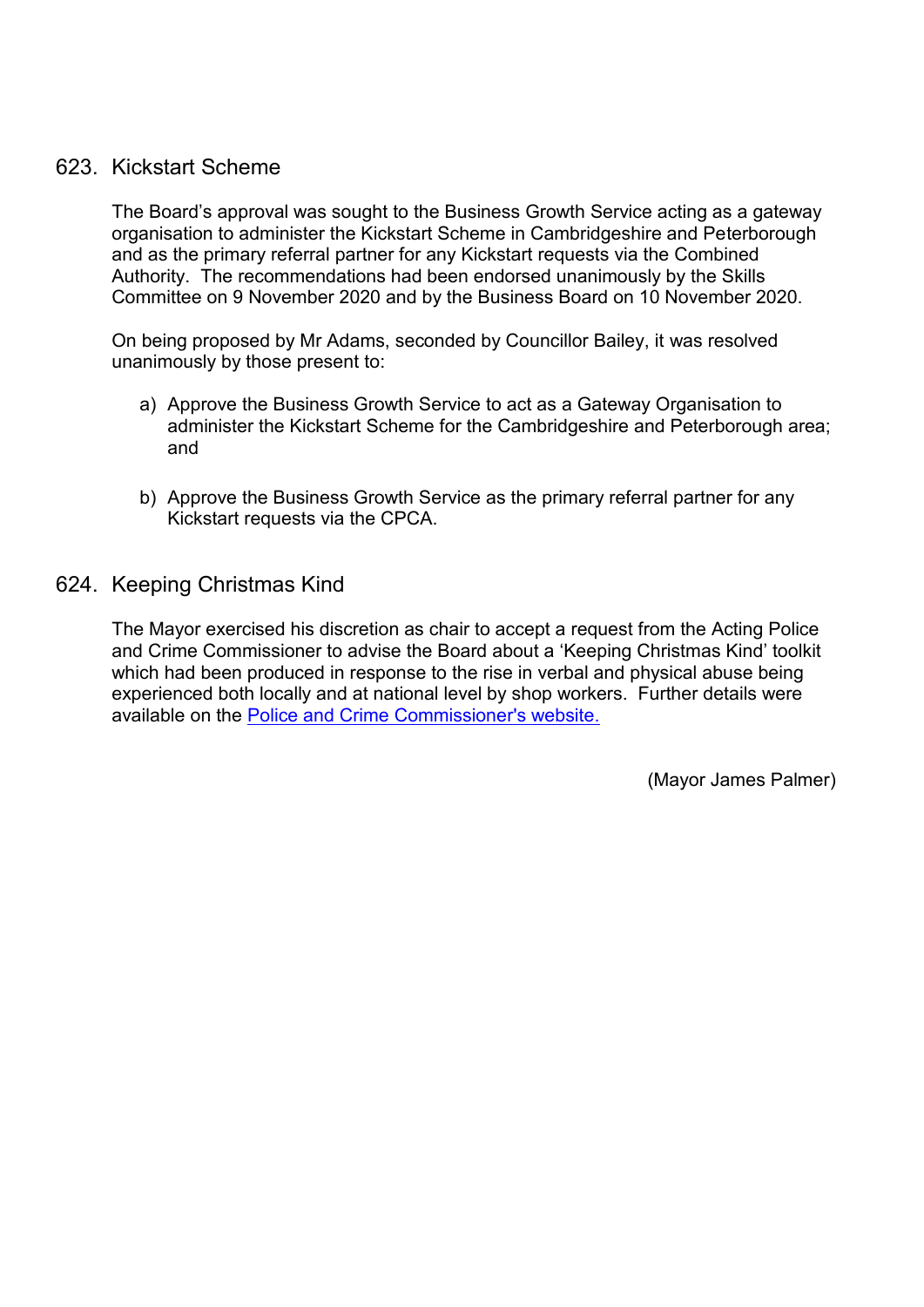# 623. Kickstart Scheme

The Board's approval was sought to the Business Growth Service acting as a gateway organisation to administer the Kickstart Scheme in Cambridgeshire and Peterborough and as the primary referral partner for any Kickstart requests via the Combined Authority. The recommendations had been endorsed unanimously by the Skills Committee on 9 November 2020 and by the Business Board on 10 November 2020.

On being proposed by Mr Adams, seconded by Councillor Bailey, it was resolved unanimously by those present to:

- a) Approve the Business Growth Service to act as a Gateway Organisation to administer the Kickstart Scheme for the Cambridgeshire and Peterborough area; and
- b) Approve the Business Growth Service as the primary referral partner for any Kickstart requests via the CPCA.
- 624. Keeping Christmas Kind

The Mayor exercised his discretion as chair to accept a request from the Acting Police and Crime Commissioner to advise the Board about a 'Keeping Christmas Kind' toolkit which had been produced in response to the rise in verbal and physical abuse being experienced both locally and at national level by shop workers. Further details were available on the [Police and Crime Commissioner's website.](https://www.cambridgeshire-pcc.gov.uk/police-commissioner-calls-for-people-to-keepchristmaskind-when-shopping/) 

(Mayor James Palmer)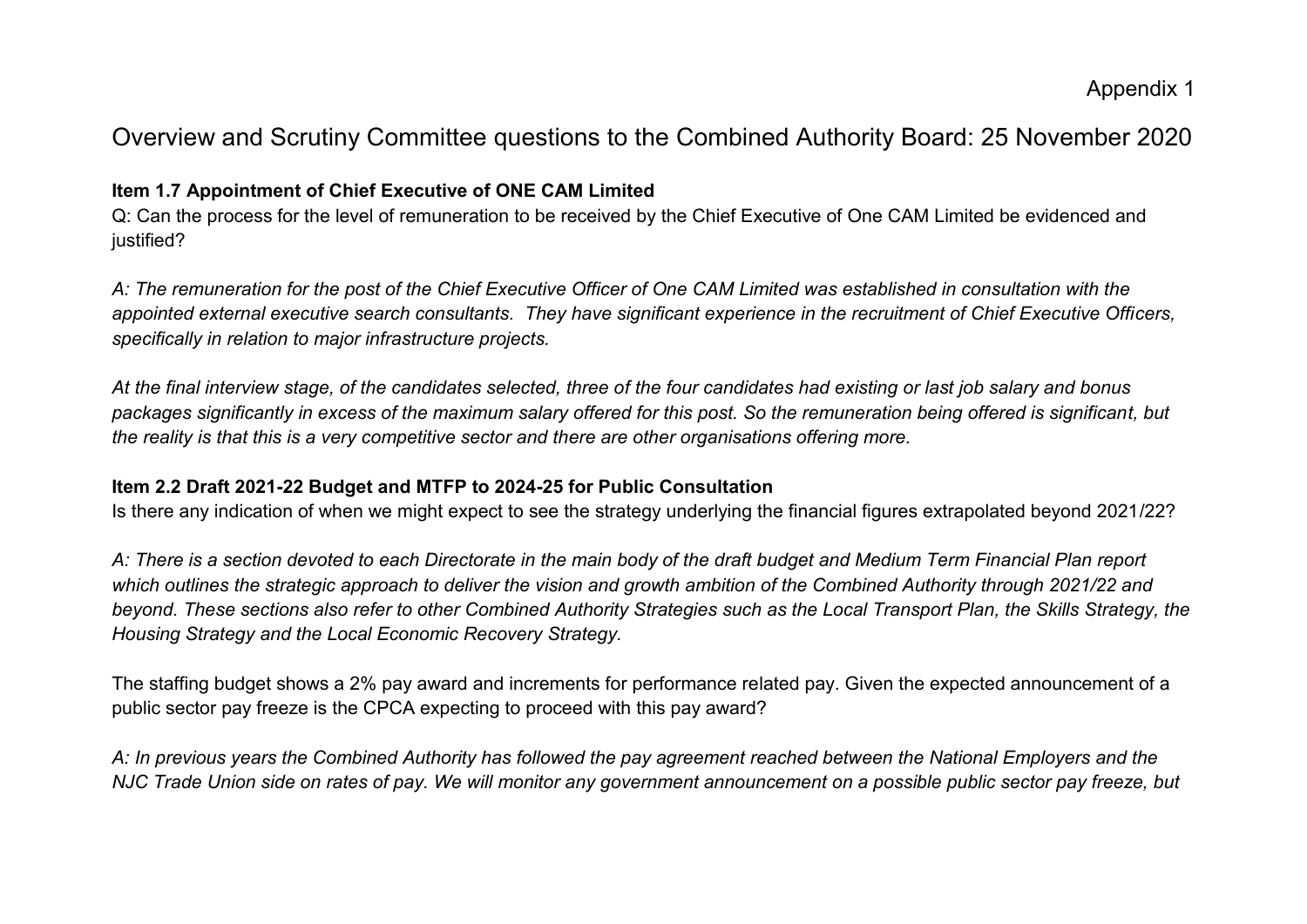# Overview and Scrutiny Committee questions to the Combined Authority Board: 25 November 2020

# **Item 1.7 Appointment of Chief Executive of ONE CAM Limited**

Q: Can the process for the level of remuneration to be received by the Chief Executive of One CAM Limited be evidenced and justified?

*A: The remuneration for the post of the Chief Executive Officer of One CAM Limited was established in consultation with the appointed external executive search consultants. They have significant experience in the recruitment of Chief Executive Officers, specifically in relation to major infrastructure projects.* 

*At the final interview stage, of the candidates selected, three of the four candidates had existing or last job salary and bonus packages significantly in excess of the maximum salary offered for this post. So the remuneration being offered is significant, but the reality is that this is a very competitive sector and there are other organisations offering more.*

### **Item 2.2 Draft 2021-22 Budget and MTFP to 2024-25 for Public Consultation**

Is there any indication of when we might expect to see the strategy underlying the financial figures extrapolated beyond 2021/22?

*A: There is a section devoted to each Directorate in the main body of the draft budget and Medium Term Financial Plan report which outlines the strategic approach to deliver the vision and growth ambition of the Combined Authority through 2021/22 and beyond. These sections also refer to other Combined Authority Strategies such as the Local Transport Plan, the Skills Strategy, the Housing Strategy and the Local Economic Recovery Strategy.* 

The staffing budget shows a 2% pay award and increments for performance related pay. Given the expected announcement of a public sector pay freeze is the CPCA expecting to proceed with this pay award?

*A: In previous years the Combined Authority has followed the pay agreement reached between the National Employers and the NJC Trade Union side on rates of pay. We will monitor any government announcement on a possible public sector pay freeze, but*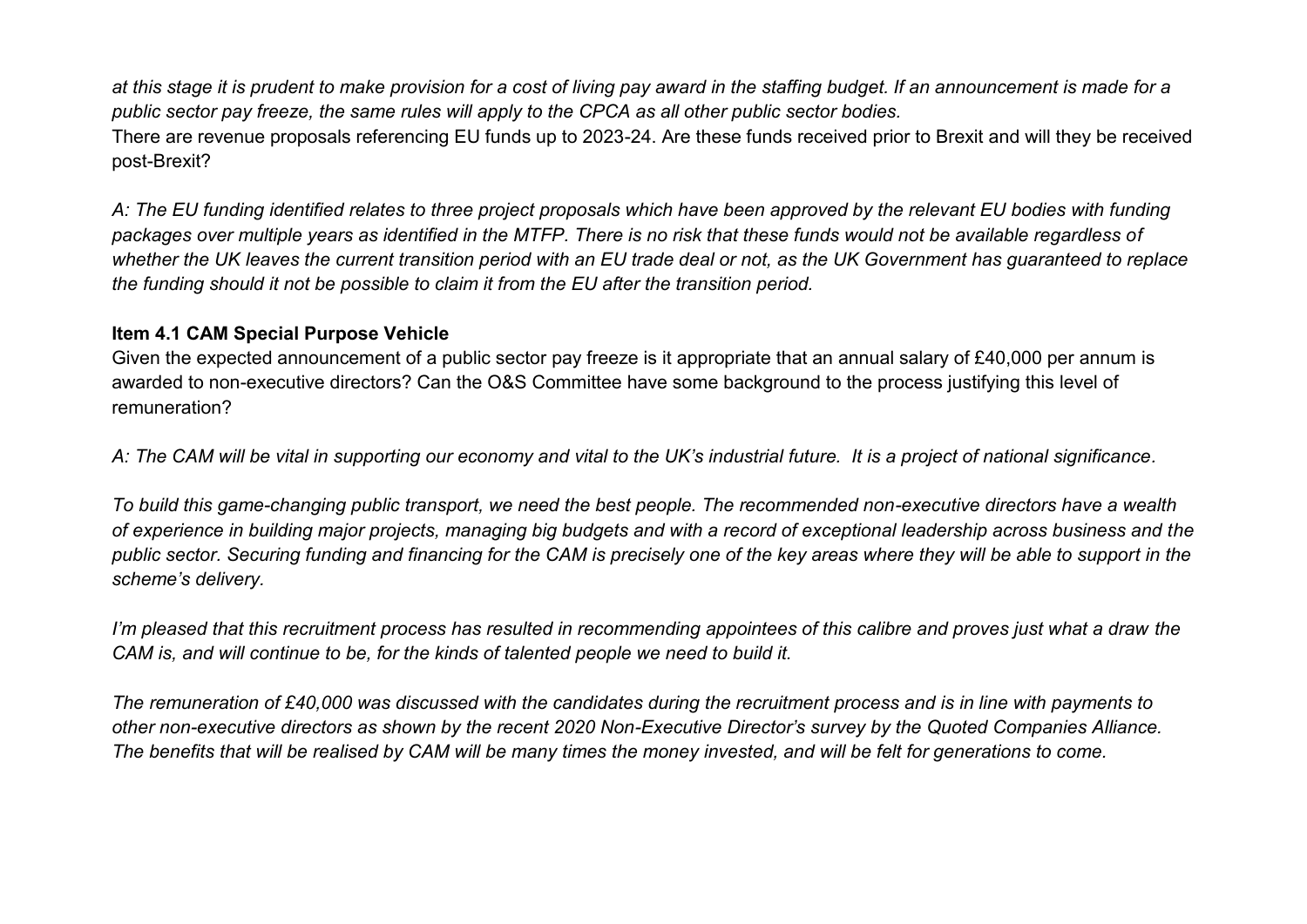*at this stage it is prudent to make provision for a cost of living pay award in the staffing budget. If an announcement is made for a public sector pay freeze, the same rules will apply to the CPCA as all other public sector bodies.*  There are revenue proposals referencing EU funds up to 2023-24. Are these funds received prior to Brexit and will they be received post-Brexit?

*A: The EU funding identified relates to three project proposals which have been approved by the relevant EU bodies with funding packages over multiple years as identified in the MTFP. There is no risk that these funds would not be available regardless of whether the UK leaves the current transition period with an EU trade deal or not, as the UK Government has guaranteed to replace the funding should it not be possible to claim it from the EU after the transition period.* 

#### **Item 4.1 CAM Special Purpose Vehicle**

Given the expected announcement of a public sector pay freeze is it appropriate that an annual salary of £40,000 per annum is awarded to non-executive directors? Can the O&S Committee have some background to the process justifying this level of remuneration?

*A: The CAM will be vital in supporting our economy and vital to the UK's industrial future. It is a project of national significance.* 

*To build this game-changing public transport, we need the best people. The recommended non-executive directors have a wealth of experience in building major projects, managing big budgets and with a record of exceptional leadership across business and the public sector. Securing funding and financing for the CAM is precisely one of the key areas where they will be able to support in the scheme's delivery.*

*I'm pleased that this recruitment process has resulted in recommending appointees of this calibre and proves just what a draw the CAM is, and will continue to be, for the kinds of talented people we need to build it.* 

*The remuneration of £40,000 was discussed with the candidates during the recruitment process and is in line with payments to other non-executive directors as shown by the recent 2020 Non-Executive Director's survey by the Quoted Companies Alliance. The benefits that will be realised by CAM will be many times the money invested, and will be felt for generations to come.*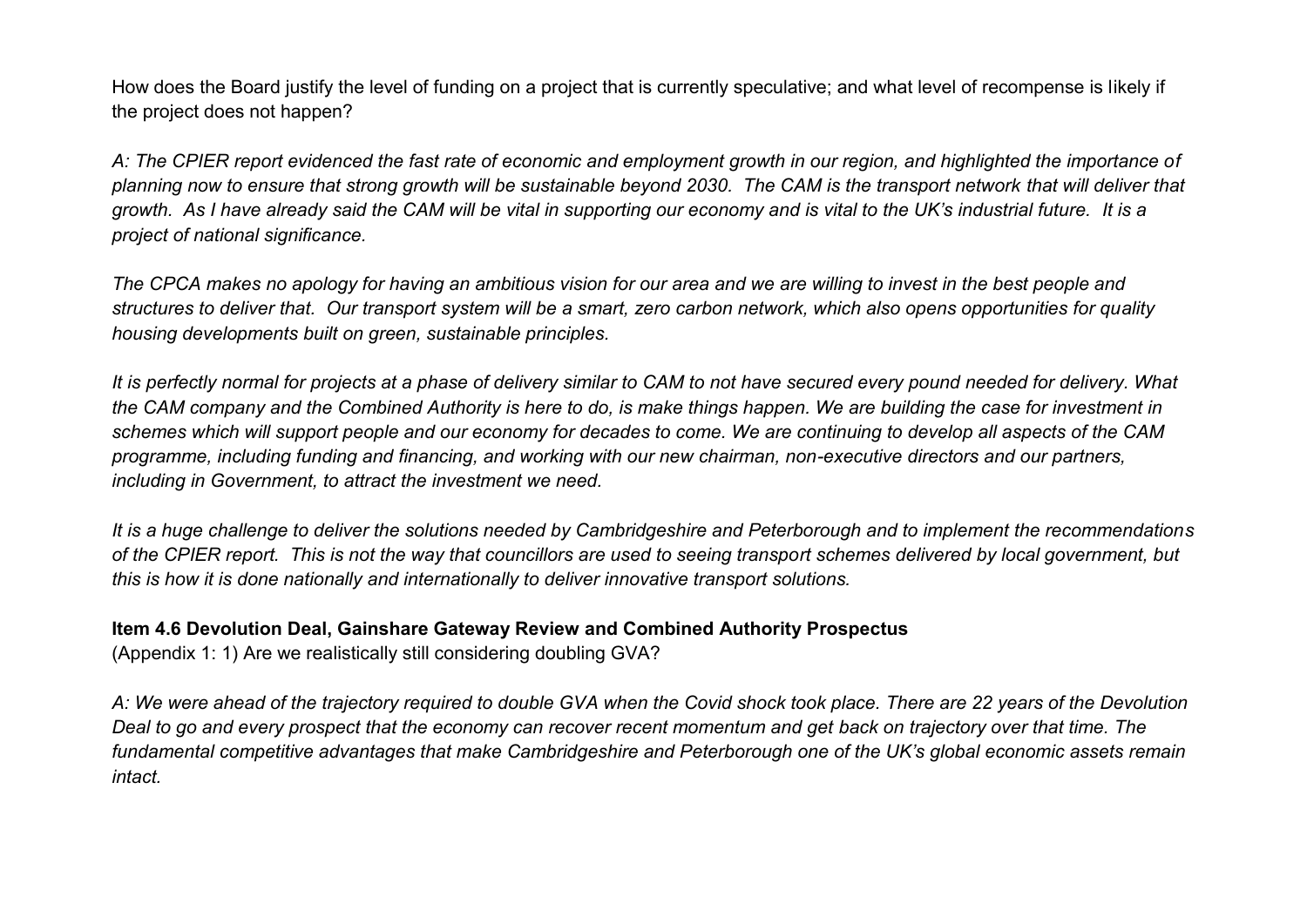How does the Board justify the level of funding on a project that is currently speculative; and what level of recompense is likely if the project does not happen?

*A: The CPIER report evidenced the fast rate of economic and employment growth in our region, and highlighted the importance of planning now to ensure that strong growth will be sustainable beyond 2030. The CAM is the transport network that will deliver that growth. As I have already said the CAM will be vital in supporting our economy and is vital to the UK's industrial future. It is a project of national significance.* 

*The CPCA makes no apology for having an ambitious vision for our area and we are willing to invest in the best people and structures to deliver that. Our transport system will be a smart, zero carbon network, which also opens opportunities for quality housing developments built on green, sustainable principles.* 

*It is perfectly normal for projects at a phase of delivery similar to CAM to not have secured every pound needed for delivery. What the CAM company and the Combined Authority is here to do, is make things happen. We are building the case for investment in schemes which will support people and our economy for decades to come. We are continuing to develop all aspects of the CAM programme, including funding and financing, and working with our new chairman, non-executive directors and our partners, including in Government, to attract the investment we need.* 

*It is a huge challenge to deliver the solutions needed by Cambridgeshire and Peterborough and to implement the recommendations of the CPIER report. This is not the way that councillors are used to seeing transport schemes delivered by local government, but this is how it is done nationally and internationally to deliver innovative transport solutions.* 

#### **Item 4.6 Devolution Deal, Gainshare Gateway Review and Combined Authority Prospectus**

(Appendix 1: 1) Are we realistically still considering doubling GVA?

*A: We were ahead of the trajectory required to double GVA when the Covid shock took place. There are 22 years of the Devolution Deal to go and every prospect that the economy can recover recent momentum and get back on trajectory over that time. The fundamental competitive advantages that make Cambridgeshire and Peterborough one of the UK's global economic assets remain intact.*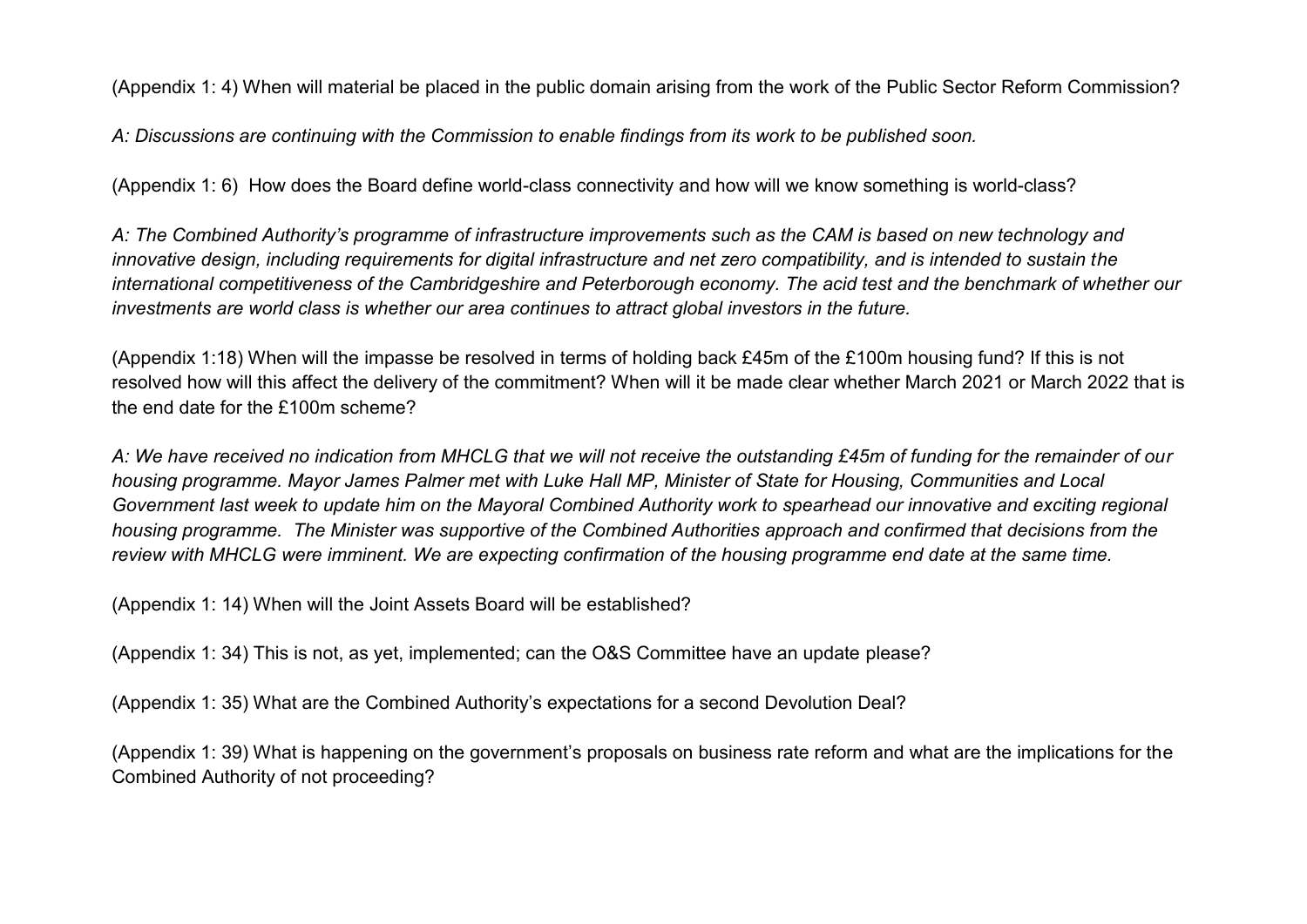(Appendix 1: 4) When will material be placed in the public domain arising from the work of the Public Sector Reform Commission?

*A: Discussions are continuing with the Commission to enable findings from its work to be published soon.* 

(Appendix 1: 6) How does the Board define world-class connectivity and how will we know something is world-class?

*A: The Combined Authority's programme of infrastructure improvements such as the CAM is based on new technology and innovative design, including requirements for digital infrastructure and net zero compatibility, and is intended to sustain the international competitiveness of the Cambridgeshire and Peterborough economy. The acid test and the benchmark of whether our investments are world class is whether our area continues to attract global investors in the future.* 

(Appendix 1:18) When will the impasse be resolved in terms of holding back £45m of the £100m housing fund? If this is not resolved how will this affect the delivery of the commitment? When will it be made clear whether March 2021 or March 2022 that is the end date for the £100m scheme?

*A: We have received no indication from MHCLG that we will not receive the outstanding £45m of funding for the remainder of our housing programme. Mayor James Palmer met with Luke Hall MP, Minister of State for Housing, Communities and Local Government last week to update him on the Mayoral Combined Authority work to spearhead our innovative and exciting regional housing programme. The Minister was supportive of the Combined Authorities approach and confirmed that decisions from the review with MHCLG were imminent. We are expecting confirmation of the housing programme end date at the same time.* 

(Appendix 1: 14) When will the Joint Assets Board will be established?

(Appendix 1: 34) This is not, as yet, implemented; can the O&S Committee have an update please?

(Appendix 1: 35) What are the Combined Authority's expectations for a second Devolution Deal?

(Appendix 1: 39) What is happening on the government's proposals on business rate reform and what are the implications for the Combined Authority of not proceeding?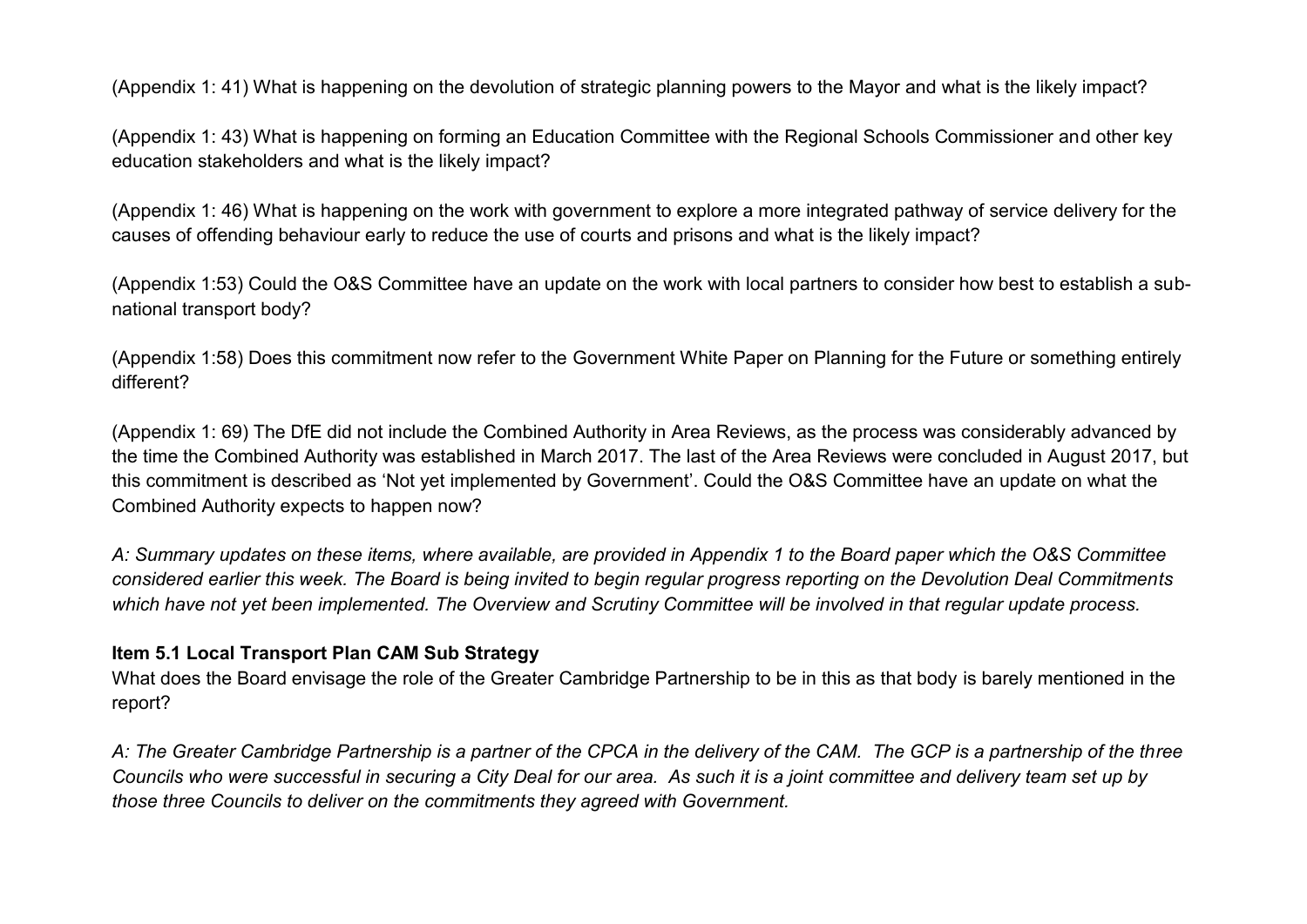(Appendix 1: 41) What is happening on the devolution of strategic planning powers to the Mayor and what is the likely impact?

(Appendix 1: 43) What is happening on forming an Education Committee with the Regional Schools Commissioner and other key education stakeholders and what is the likely impact?

(Appendix 1: 46) What is happening on the work with government to explore a more integrated pathway of service delivery for the causes of offending behaviour early to reduce the use of courts and prisons and what is the likely impact?

(Appendix 1:53) Could the O&S Committee have an update on the work with local partners to consider how best to establish a subnational transport body?

(Appendix 1:58) Does this commitment now refer to the Government White Paper on Planning for the Future or something entirely different?

(Appendix 1: 69) The DfE did not include the Combined Authority in Area Reviews, as the process was considerably advanced by the time the Combined Authority was established in March 2017. The last of the Area Reviews were concluded in August 2017, but this commitment is described as 'Not yet implemented by Government'. Could the O&S Committee have an update on what the Combined Authority expects to happen now?

*A: Summary updates on these items, where available, are provided in Appendix 1 to the Board paper which the O&S Committee considered earlier this week. The Board is being invited to begin regular progress reporting on the Devolution Deal Commitments which have not yet been implemented. The Overview and Scrutiny Committee will be involved in that regular update process.* 

#### **Item 5.1 Local Transport Plan CAM Sub Strategy**

What does the Board envisage the role of the Greater Cambridge Partnership to be in this as that body is barely mentioned in the report?

*A: The Greater Cambridge Partnership is a partner of the CPCA in the delivery of the CAM. The GCP is a partnership of the three Councils who were successful in securing a City Deal for our area. As such it is a joint committee and delivery team set up by those three Councils to deliver on the commitments they agreed with Government.*